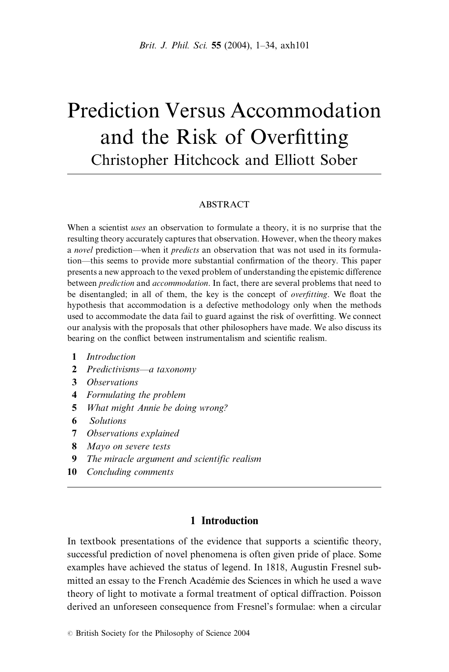# Prediction Versus Accommodation and the Risk of Overfitting Christopher Hitchcock and Elliott Sober

#### ABSTRACT

When a scientist uses an observation to formulate a theory, it is no surprise that the resulting theory accurately captures that observation. However, when the theory makes a novel prediction—when it *predicts* an observation that was not used in its formulation—this seems to provide more substantial confirmation of the theory. This paper presents a new approach to the vexed problem of understanding the epistemic difference between *prediction* and *accommodation*. In fact, there are several problems that need to be disentangled; in all of them, the key is the concept of *overfitting*. We float the hypothesis that accommodation is a defective methodology only when the methods used to accommodate the data fail to guard against the risk of overfitting. We connect our analysis with the proposals that other philosophers have made. We also discuss its bearing on the conflict between instrumentalism and scientific realism.

- 1 Introduction
- 2 Predictivisms—a taxonomy
- 3 Observations
- 4 Formulating the problem
- 5 What might Annie be doing wrong?
- 6 Solutions
- 7 Observations explained
- 8 Mayo on severe tests
- 9 The miracle argument and scientific realism
- 10 Concluding comments

# 1 Introduction

In textbook presentations of the evidence that supports a scientific theory, successful prediction of novel phenomena is often given pride of place. Some examples have achieved the status of legend. In 1818, Augustin Fresnel submitted an essay to the French Académie des Sciences in which he used a wave theory of light to motivate a formal treatment of optical diffraction. Poisson derived an unforeseen consequence from Fresnel's formulae: when a circular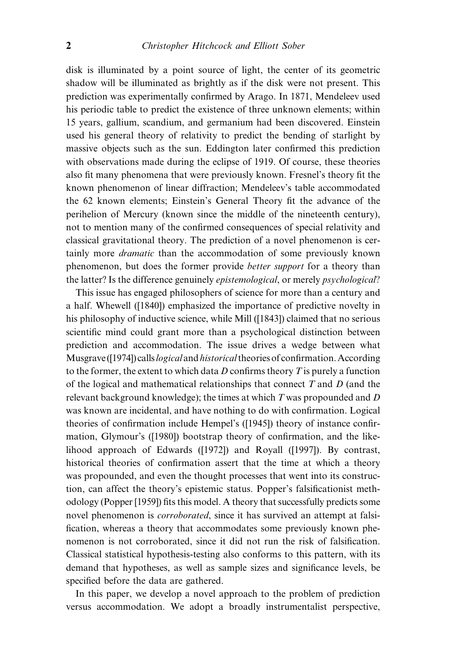disk is illuminated by a point source of light, the center of its geometric shadow will be illuminated as brightly as if the disk were not present. This prediction was experimentally confirmed by Arago. In 1871, Mendeleev used his periodic table to predict the existence of three unknown elements; within 15 years, gallium, scandium, and germanium had been discovered. Einstein used his general theory of relativity to predict the bending of starlight by massive objects such as the sun. Eddington later confirmed this prediction with observations made during the eclipse of 1919. Of course, these theories also fit many phenomena that were previously known. Fresnel's theory fit the known phenomenon of linear diffraction; Mendeleev's table accommodated the 62 known elements; Einstein's General Theory fit the advance of the perihelion of Mercury (known since the middle of the nineteenth century), not to mention many of the confirmed consequences of special relativity and classical gravitational theory. The prediction of a novel phenomenon is certainly more dramatic than the accommodation of some previously known phenomenon, but does the former provide better support for a theory than the latter? Is the difference genuinely *epistemological*, or merely *psychological*?

This issue has engaged philosophers of science for more than a century and a half. Whewell ([1840]) emphasized the importance of predictive novelty in his philosophy of inductive science, while Mill ([1843]) claimed that no serious scientific mind could grant more than a psychological distinction between prediction and accommodation. The issue drives a wedge between what Musgrave ([1974]) calls *logical* and *historical* theories of confirmation. According to the former, the extent to which data  $D$  confirms theory  $T$  is purely a function of the logical and mathematical relationships that connect  $T$  and  $D$  (and the relevant background knowledge); the times at which  $T$  was propounded and  $D$ was known are incidental, and have nothing to do with confirmation. Logical theories of confirmation include Hempel's ([1945]) theory of instance confirmation, Glymour's ([1980]) bootstrap theory of confirmation, and the likelihood approach of Edwards ([1972]) and Royall ([1997]). By contrast, historical theories of confirmation assert that the time at which a theory was propounded, and even the thought processes that went into its construction, can affect the theory's epistemic status. Popper's falsificationist methodology (Popper [1959]) fits this model. A theory that successfully predicts some novel phenomenon is *corroborated*, since it has survived an attempt at falsification, whereas a theory that accommodates some previously known phenomenon is not corroborated, since it did not run the risk of falsification. Classical statistical hypothesis-testing also conforms to this pattern, with its demand that hypotheses, as well as sample sizes and significance levels, be specified before the data are gathered.

In this paper, we develop a novel approach to the problem of prediction versus accommodation. We adopt a broadly instrumentalist perspective,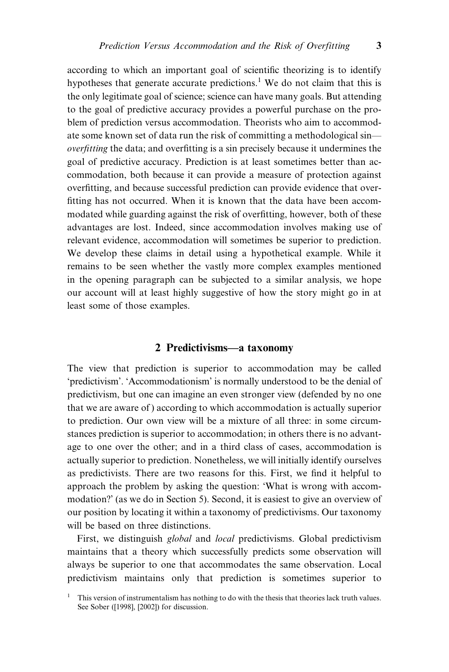according to which an important goal of scientific theorizing is to identify hypotheses that generate accurate predictions.<sup>1</sup> We do not claim that this is the only legitimate goal of science; science can have many goals. But attending to the goal of predictive accuracy provides a powerful purchase on the problem of prediction versus accommodation. Theorists who aim to accommodate some known set of data run the risk of committing a methodological sin overfitting the data; and overfitting is a sin precisely because it undermines the goal of predictive accuracy. Prediction is at least sometimes better than accommodation, both because it can provide a measure of protection against overfitting, and because successful prediction can provide evidence that overfitting has not occurred. When it is known that the data have been accommodated while guarding against the risk of overfitting, however, both of these advantages are lost. Indeed, since accommodation involves making use of relevant evidence, accommodation will sometimes be superior to prediction. We develop these claims in detail using a hypothetical example. While it remains to be seen whether the vastly more complex examples mentioned in the opening paragraph can be subjected to a similar analysis, we hope our account will at least highly suggestive of how the story might go in at least some of those examples.

#### 2 Predictivisms—a taxonomy

The view that prediction is superior to accommodation may be called `predictivism'. `Accommodationism' is normally understood to be the denial of predictivism, but one can imagine an even stronger view (defended by no one that we are aware of ) according to which accommodation is actually superior to prediction. Our own view will be a mixture of all three: in some circumstances prediction is superior to accommodation; in others there is no advantage to one over the other; and in a third class of cases, accommodation is actually superior to prediction. Nonetheless, we will initially identify ourselves as predictivists. There are two reasons for this. First, we find it helpful to approach the problem by asking the question: 'What is wrong with accommodation?' (as we do in Section 5). Second, it is easiest to give an overview of our position by locating it within a taxonomy of predictivisms. Our taxonomy will be based on three distinctions.

First, we distinguish global and local predictivisms. Global predictivism maintains that a theory which successfully predicts some observation will always be superior to one that accommodates the same observation. Local predictivism maintains only that prediction is sometimes superior to

<sup>1</sup> This version of instrumentalism has nothing to do with the thesis that theories lack truth values. See Sober ([1998], [2002]) for discussion.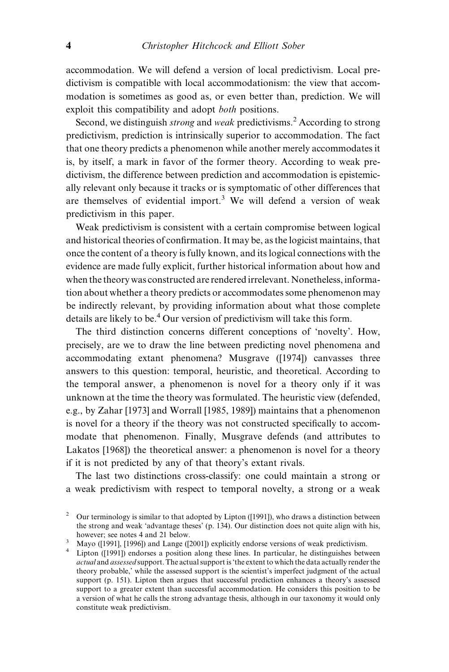accommodation. We will defend a version of local predictivism. Local predictivism is compatible with local accommodationism: the view that accommodation is sometimes as good as, or even better than, prediction. We will exploit this compatibility and adopt *both* positions.

Second, we distinguish *strong* and *weak* predictivisms.<sup>2</sup> According to strong predictivism, prediction is intrinsically superior to accommodation. The fact that one theory predicts a phenomenon while another merely accommodates it is, by itself, a mark in favor of the former theory. According to weak predictivism, the difference between prediction and accommodation is epistemically relevant only because it tracks or is symptomatic of other differences that are themselves of evidential import.<sup>3</sup> We will defend a version of weak predictivism in this paper.

Weak predictivism is consistent with a certain compromise between logical and historical theories of confirmation. It may be, as the logicist maintains, that once the content of a theory is fully known, and its logical connections with the evidence are made fully explicit, further historical information about how and when the theory was constructed are rendered irrelevant. Nonetheless, information about whether a theory predicts or accommodates some phenomenon may be indirectly relevant, by providing information about what those complete details are likely to be.<sup>4</sup> Our version of predictivism will take this form.

The third distinction concerns different conceptions of `novelty'. How, precisely, are we to draw the line between predicting novel phenomena and accommodating extant phenomena? Musgrave ([1974]) canvasses three answers to this question: temporal, heuristic, and theoretical. According to the temporal answer, a phenomenon is novel for a theory only if it was unknown at the time the theory was formulated. The heuristic view (defended, e.g., by Zahar [1973] and Worrall [1985, 1989]) maintains that a phenomenon is novel for a theory if the theory was not constructed specifically to accommodate that phenomenon. Finally, Musgrave defends (and attributes to Lakatos [1968]) the theoretical answer: a phenomenon is novel for a theory if it is not predicted by any of that theory's extant rivals.

The last two distinctions cross-classify: one could maintain a strong or a weak predictivism with respect to temporal novelty, a strong or a weak

<sup>&</sup>lt;sup>2</sup> Our terminology is similar to that adopted by Lipton ([1991]), who draws a distinction between the strong and weak `advantage theses' (p. 134). Our distinction does not quite align with his,

however; see notes 4 and 21 below.<br><sup>3</sup> Mayo ([1991], [1996]) and Lange ([2001]) explicitly endorse versions of weak predictivism.<br><sup>4</sup> Lipton ([1991]) endorses a position along these lines. In particular, he distinguishes actual and assessed support. The actual support is 'the extent to which the data actually render the theory probable,' while the assessed support is the scientist's imperfect judgment of the actual support (p. 151). Lipton then argues that successful prediction enhances a theory's assessed support to a greater extent than successful accommodation. He considers this position to be a version of what he calls the strong advantage thesis, although in our taxonomy it would only constitute weak predictivism.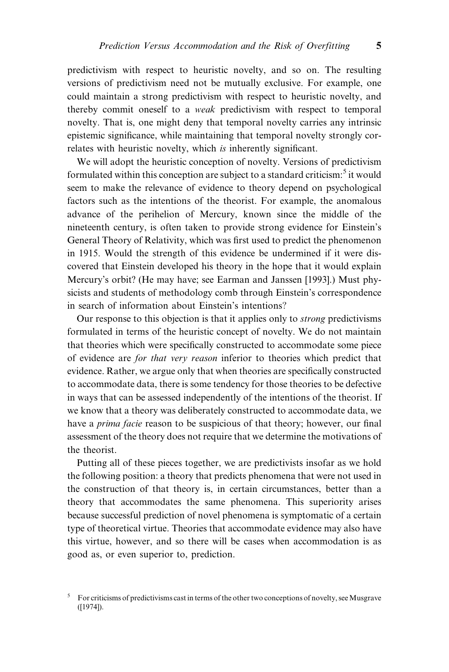predictivism with respect to heuristic novelty, and so on. The resulting versions of predictivism need not be mutually exclusive. For example, one could maintain a strong predictivism with respect to heuristic novelty, and thereby commit oneself to a weak predictivism with respect to temporal novelty. That is, one might deny that temporal novelty carries any intrinsic epistemic significance, while maintaining that temporal novelty strongly correlates with heuristic novelty, which is inherently significant.

We will adopt the heuristic conception of novelty. Versions of predictivism formulated within this conception are subject to a standard criticism: $5$  it would seem to make the relevance of evidence to theory depend on psychological factors such as the intentions of the theorist. For example, the anomalous advance of the perihelion of Mercury, known since the middle of the nineteenth century, is often taken to provide strong evidence for Einstein's General Theory of Relativity, which was first used to predict the phenomenon in 1915. Would the strength of this evidence be undermined if it were discovered that Einstein developed his theory in the hope that it would explain Mercury's orbit? (He may have; see Earman and Janssen [1993].) Must physicists and students of methodology comb through Einstein's correspondence in search of information about Einstein's intentions?

Our response to this objection is that it applies only to strong predictivisms formulated in terms of the heuristic concept of novelty. We do not maintain that theories which were specifically constructed to accommodate some piece of evidence are for that very reason inferior to theories which predict that evidence. Rather, we argue only that when theories are specifically constructed to accommodate data, there is some tendency for those theories to be defective in ways that can be assessed independently of the intentions of the theorist. If we know that a theory was deliberately constructed to accommodate data, we have a *prima facie* reason to be suspicious of that theory; however, our final assessment of the theory does not require that we determine the motivations of the theorist.

Putting all of these pieces together, we are predictivists insofar as we hold the following position: a theory that predicts phenomena that were not used in the construction of that theory is, in certain circumstances, better than a theory that accommodates the same phenomena. This superiority arises because successful prediction of novel phenomena is symptomatic of a certain type of theoretical virtue. Theories that accommodate evidence may also have this virtue, however, and so there will be cases when accommodation is as good as, or even superior to, prediction.

<sup>5</sup> For criticisms of predictivisms cast in terms of the other two conceptions of novelty, seeMusgrave ([1974]).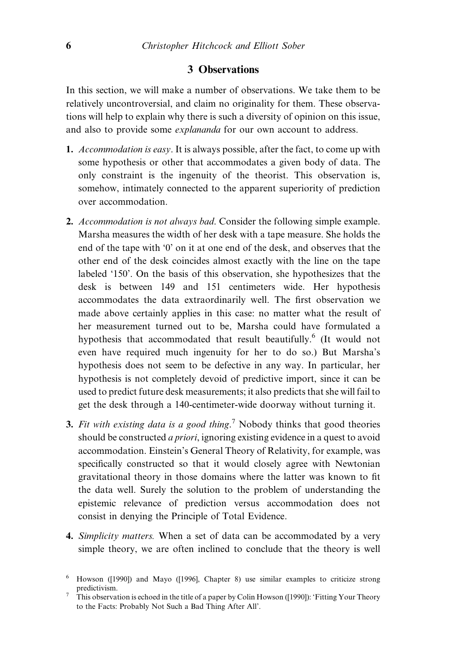#### 3 Observations

In this section, we will make a number of observations. We take them to be relatively uncontroversial, and claim no originality for them. These observations will help to explain why there is such a diversity of opinion on this issue, and also to provide some explananda for our own account to address.

- 1. Accommodation is easy. It is always possible, after the fact, to come up with some hypothesis or other that accommodates a given body of data. The only constraint is the ingenuity of the theorist. This observation is, somehow, intimately connected to the apparent superiority of prediction over accommodation.
- 2. Accommodation is not always bad. Consider the following simple example. Marsha measures the width of her desk with a tape measure. She holds the end of the tape with `0' on it at one end of the desk, and observes that the other end of the desk coincides almost exactly with the line on the tape labeled `150'. On the basis of this observation, she hypothesizes that the desk is between 149 and 151 centimeters wide. Her hypothesis accommodates the data extraordinarily well. The first observation we made above certainly applies in this case: no matter what the result of her measurement turned out to be, Marsha could have formulated a hypothesis that accommodated that result beautifully.<sup>6</sup> (It would not even have required much ingenuity for her to do so.) But Marsha's hypothesis does not seem to be defective in any way. In particular, her hypothesis is not completely devoid of predictive import, since it can be used to predict future desk measurements; it also predicts that she will fail to get the desk through a 140-centimeter-wide doorway without turning it.
- 3. Fit with existing data is a good thing.<sup>7</sup> Nobody thinks that good theories should be constructed a priori, ignoring existing evidence in a quest to avoid accommodation. Einstein's General Theory of Relativity, for example, was specifically constructed so that it would closely agree with Newtonian gravitational theory in those domains where the latter was known to fit the data well. Surely the solution to the problem of understanding the epistemic relevance of prediction versus accommodation does not consist in denying the Principle of Total Evidence.
- 4. Simplicity matters. When a set of data can be accommodated by a very simple theory, we are often inclined to conclude that the theory is well

Howson ([1990]) and Mayo ([1996], Chapter 8) use similar examples to criticize strong predictivism.

This observation is echoed in the title of a paper by Colin Howson ([1990]): 'Fitting Your Theory to the Facts: Probably Not Such a Bad Thing After All'.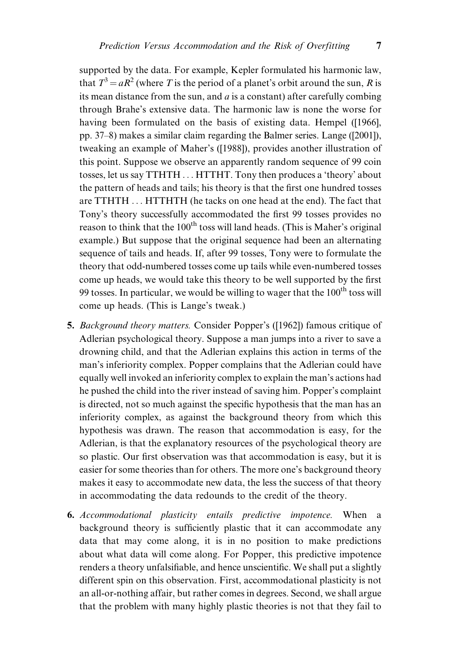supported by the data. For example, Kepler formulated his harmonic law, that  $T^3 = aR^2$  (where T is the period of a planet's orbit around the sun, R is its mean distance from the sun, and  $\alpha$  is a constant) after carefully combing through Brahe's extensive data. The harmonic law is none the worse for having been formulated on the basis of existing data. Hempel ([1966], pp. 37–8) makes a similar claim regarding the Balmer series. Lange ([2001]), tweaking an example of Maher's ([1988]), provides another illustration of this point. Suppose we observe an apparently random sequence of 99 coin tosses, let us say TTHTH . . . HTTHT. Tony then produces a 'theory' about the pattern of heads and tails; his theory is that the first one hundred tosses are TTHTH . . . HTTHTH (he tacks on one head at the end). The fact that Tony's theory successfully accommodated the first 99 tosses provides no reason to think that the  $100<sup>th</sup>$  toss will land heads. (This is Maher's original example.) But suppose that the original sequence had been an alternating sequence of tails and heads. If, after 99 tosses, Tony were to formulate the theory that odd-numbered tosses come up tails while even-numbered tosses come up heads, we would take this theory to be well supported by the first 99 tosses. In particular, we would be willing to wager that the  $100<sup>th</sup>$  toss will come up heads. (This is Lange's tweak.)

- 5. Background theory matters. Consider Popper's ([1962]) famous critique of Adlerian psychological theory. Suppose a man jumps into a river to save a drowning child, and that the Adlerian explains this action in terms of the man's inferiority complex. Popper complains that the Adlerian could have equally well invoked an inferiority complex to explain the man's actions had he pushed the child into the river instead of saving him. Popper's complaint is directed, not so much against the specific hypothesis that the man has an inferiority complex, as against the background theory from which this hypothesis was drawn. The reason that accommodation is easy, for the Adlerian, is that the explanatory resources of the psychological theory are so plastic. Our first observation was that accommodation is easy, but it is easier for some theories than for others. The more one's background theory makes it easy to accommodate new data, the less the success of that theory in accommodating the data redounds to the credit of the theory.
- 6. Accommodational plasticity entails predictive impotence. When a background theory is sufficiently plastic that it can accommodate any data that may come along, it is in no position to make predictions about what data will come along. For Popper, this predictive impotence renders a theory unfalsifiable, and hence unscientific. We shall put a slightly different spin on this observation. First, accommodational plasticity is not an all-or-nothing affair, but rather comes in degrees. Second, we shall argue that the problem with many highly plastic theories is not that they fail to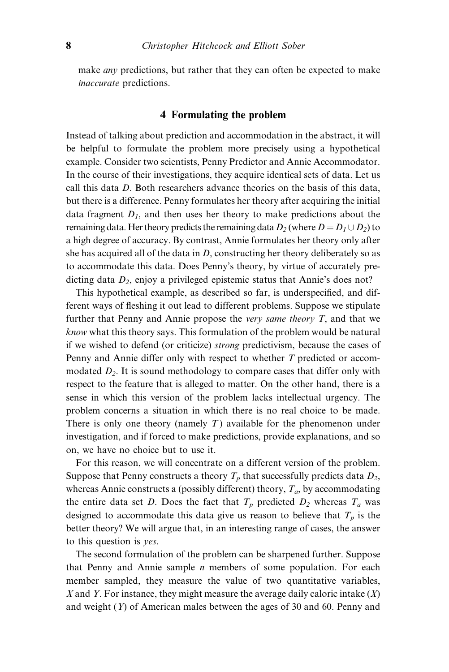make *any* predictions, but rather that they can often be expected to make inaccurate predictions.

# 4 Formulating the problem

Instead of talking about prediction and accommodation in the abstract, it will be helpful to formulate the problem more precisely using a hypothetical example. Consider two scientists, Penny Predictor and Annie Accommodator. In the course of their investigations, they acquire identical sets of data. Let us call this data D. Both researchers advance theories on the basis of this data, but there is a difference. Penny formulates her theory after acquiring the initial data fragment  $D<sub>I</sub>$ , and then uses her theory to make predictions about the remaining data. Her theory predicts the remaining data  $D_2$  (where  $D = D_1 \cup D_2$ ) to a high degree of accuracy. By contrast, Annie formulates her theory only after she has acquired all of the data in  $D$ , constructing her theory deliberately so as to accommodate this data. Does Penny's theory, by virtue of accurately predicting data  $D_2$ , enjoy a privileged epistemic status that Annie's does not?

This hypothetical example, as described so far, is underspecified, and different ways of fleshing it out lead to different problems. Suppose we stipulate further that Penny and Annie propose the very same theory  $T$ , and that we know what this theory says. This formulation of the problem would be natural if we wished to defend (or criticize) strong predictivism, because the cases of Penny and Annie differ only with respect to whether T predicted or accommodated  $D<sub>2</sub>$ . It is sound methodology to compare cases that differ only with respect to the feature that is alleged to matter. On the other hand, there is a sense in which this version of the problem lacks intellectual urgency. The problem concerns a situation in which there is no real choice to be made. There is only one theory (namely  $T$ ) available for the phenomenon under investigation, and if forced to make predictions, provide explanations, and so on, we have no choice but to use it.

For this reason, we will concentrate on a different version of the problem. Suppose that Penny constructs a theory  $T_p$  that successfully predicts data  $D_2$ , whereas Annie constructs a (possibly different) theory,  $T_a$ , by accommodating the entire data set D. Does the fact that  $T_p$  predicted  $D_2$  whereas  $T_a$  was designed to accommodate this data give us reason to believe that  $T_p$  is the better theory? We will argue that, in an interesting range of cases, the answer to this question is yes.

The second formulation of the problem can be sharpened further. Suppose that Penny and Annie sample  $n$  members of some population. For each member sampled, they measure the value of two quantitative variables, X and Y. For instance, they might measure the average daily caloric intake  $(X)$ and weight  $(Y)$  of American males between the ages of 30 and 60. Penny and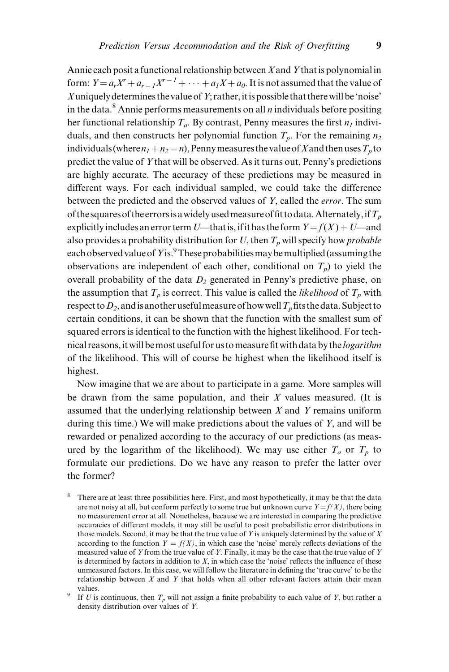Annie each posit a functional relationship between  $X$  and  $Y$  that is polynomial in form:  $Y = a_r X^r + a_{r-1} X^{r-1} + \dots + a_1 X + a_0$ . It is not assumed that the value of Xuniquely determines the value of Y; rather, it is possible that there will be 'noise' in the data.<sup>8</sup> Annie performs measurements on all  $n$  individuals before positing her functional relationship  $T_a$ . By contrast, Penny measures the first  $n_1$  individuals, and then constructs her polynomial function  $T_p$ . For the remaining  $n_2$ individuals (where  $n_1 + n_2 = n$ ), Penny measures the value of X and then uses  $T_p$  to predict the value of Y that will be observed. As it turns out, Penny's predictions are highly accurate. The accuracy of these predictions may be measured in different ways. For each individual sampled, we could take the difference between the predicted and the observed values of Y, called the error. The sum of the squares of the errors is a widely used measure of fit to data. Alternately, if  $T_p$ explicitly includes an error term U—that is, if it has the form  $Y = f(X) + U$ —and also provides a probability distribution for U, then  $T_p$  will specify how *probable* each observed value of Yis. $^9$  These probabilities may be multiplied (assuming the observations are independent of each other, conditional on  $T_p$ ) to yield the overall probability of the data  $D_2$  generated in Penny's predictive phase, on the assumption that  $T_p$  is correct. This value is called the *likelihood* of  $T_p$  with respect to  $D_2$ , and is another useful measure of how well  $T_p$  fits the data. Subject to certain conditions, it can be shown that the function with the smallest sum of squared errors is identical to the function with the highest likelihood. For technical reasons, it will be most useful for us to measure fit with data by the *logarithm* of the likelihood. This will of course be highest when the likelihood itself is highest.

Now imagine that we are about to participate in a game. More samples will be drawn from the same population, and their  $X$  values measured. (It is assumed that the underlying relationship between  $X$  and  $Y$  remains uniform during this time.) We will make predictions about the values of  $Y$ , and will be rewarded or penalized according to the accuracy of our predictions (as measured by the logarithm of the likelihood). We may use either  $T_a$  or  $T_p$  to formulate our predictions. Do we have any reason to prefer the latter over the former?

There are at least three possibilities here. First, and most hypothetically, it may be that the data are not noisy at all, but conform perfectly to some true but unknown curve  $Y = f(X)$ , there being no measurement error at all. Nonetheless, because we are interested in comparing the predictive accuracies of different models, it may still be useful to posit probabilistic error distributions in those models. Second, it may be that the true value of Y is uniquely determined by the value of  $X$ according to the function  $Y = f(X)$ , in which case the 'noise' merely reflects deviations of the measured value of Y from the true value of Y. Finally, it may be the case that the true value of Y is determined by factors in addition to  $X$ , in which case the 'noise' reflects the influence of these unmeasured factors. In this case, we will follow the literature in defining the 'true curve' to be the relationship between  $X$  and  $Y$  that holds when all other relevant factors attain their mean

values.<br><sup>9</sup> If *U* is continuous, then  $T_p$  will not assign a finite probability to each value of *Y*, but rather a density distribution over values of Y.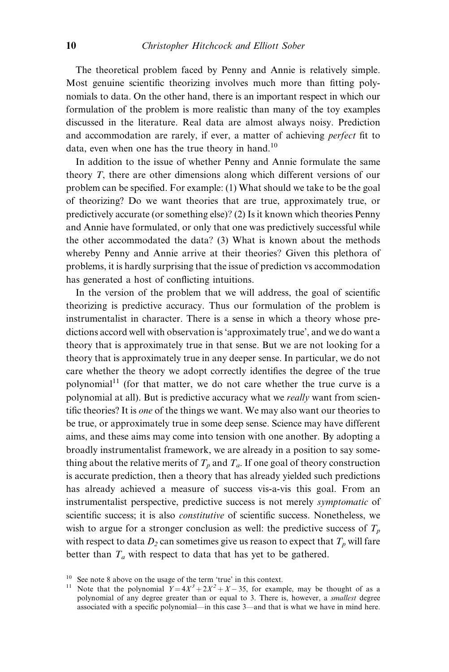The theoretical problem faced by Penny and Annie is relatively simple. Most genuine scientific theorizing involves much more than fitting polynomials to data. On the other hand, there is an important respect in which our formulation of the problem is more realistic than many of the toy examples discussed in the literature. Real data are almost always noisy. Prediction and accommodation are rarely, if ever, a matter of achieving *perfect* fit to data, even when one has the true theory in hand.<sup>10</sup>

In addition to the issue of whether Penny and Annie formulate the same theory T, there are other dimensions along which different versions of our problem can be specified. For example: (1) What should we take to be the goal of theorizing? Do we want theories that are true, approximately true, or predictively accurate (or something else)? (2) Is it known which theories Penny and Annie have formulated, or only that one was predictively successful while the other accommodated the data? (3) What is known about the methods whereby Penny and Annie arrive at their theories? Given this plethora of problems, it is hardly surprising that the issue of prediction vs accommodation has generated a host of conflicting intuitions.

In the version of the problem that we will address, the goal of scientific theorizing is predictive accuracy. Thus our formulation of the problem is instrumentalist in character. There is a sense in which a theory whose predictions accord well with observation is `approximately true', and we do want a theory that is approximately true in that sense. But we are not looking for a theory that is approximately true in any deeper sense. In particular, we do not care whether the theory we adopt correctly identifies the degree of the true polynomial<sup>11</sup> (for that matter, we do not care whether the true curve is a polynomial at all). But is predictive accuracy what we really want from scientific theories? It is *one* of the things we want. We may also want our theories to be true, or approximately true in some deep sense. Science may have different aims, and these aims may come into tension with one another. By adopting a broadly instrumentalist framework, we are already in a position to say something about the relative merits of  $T_p$  and  $T_q$ . If one goal of theory construction is accurate prediction, then a theory that has already yielded such predictions has already achieved a measure of success vis-a-vis this goal. From an instrumentalist perspective, predictive success is not merely symptomatic of scientific success; it is also *constitutive* of scientific success. Nonetheless, we wish to argue for a stronger conclusion as well: the predictive success of  $T_p$ with respect to data  $D_2$  can sometimes give us reason to expect that  $T_p$  will fare better than  $T_a$  with respect to data that has yet to be gathered.

<sup>&</sup>lt;sup>10</sup> See note 8 above on the usage of the term 'true' in this context. <sup>11</sup> Note that the polynomial  $Y = 4X^3 + 2X^2 + X - 35$ , for example, may be thought of as a polynomial of any degree greater than or equal to 3. There is, however, a smallest degree associated with a specific polynomial—in this case 3—and that is what we have in mind here.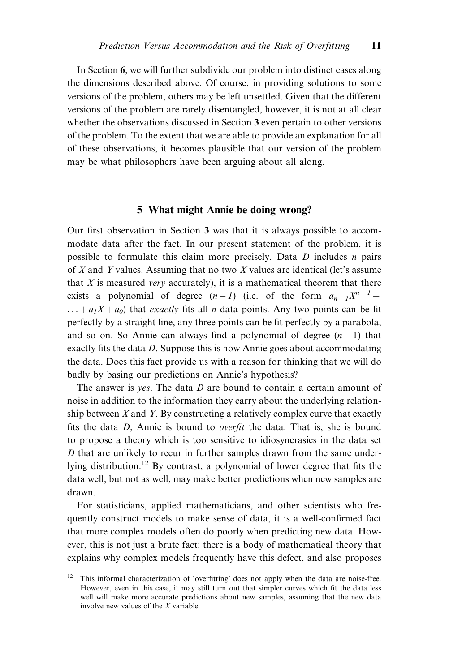In Section 6, we will further subdivide our problem into distinct cases along the dimensions described above. Of course, in providing solutions to some versions of the problem, others may be left unsettled. Given that the different versions of the problem are rarely disentangled, however, it is not at all clear whether the observations discussed in Section 3 even pertain to other versions of the problem. To the extent that we are able to provide an explanation for all of these observations, it becomes plausible that our version of the problem may be what philosophers have been arguing about all along.

#### 5 What might Annie be doing wrong?

Our first observation in Section 3 was that it is always possible to accommodate data after the fact. In our present statement of the problem, it is possible to formulate this claim more precisely. Data  $D$  includes  $n$  pairs of  $X$  and  $Y$  values. Assuming that no two  $X$  values are identical (let's assume that  $X$  is measured very accurately), it is a mathematical theorem that there exists a polynomial of degree  $(n-1)$  (i.e. of the form  $a_{n-1}X^{n-1}$  +  $\dots + a_1X + a_0$ ) that *exactly* fits all *n* data points. Any two points can be fit perfectly by a straight line, any three points can be fit perfectly by a parabola, and so on. So Annie can always find a polynomial of degree  $(n - 1)$  that exactly fits the data  $D$ . Suppose this is how Annie goes about accommodating the data. Does this fact provide us with a reason for thinking that we will do badly by basing our predictions on Annie's hypothesis?

The answer is *ves*. The data *D* are bound to contain a certain amount of noise in addition to the information they carry about the underlying relationship between  $X$  and  $Y$ . By constructing a relatively complex curve that exactly fits the data  $D$ , Annie is bound to *overfit* the data. That is, she is bound to propose a theory which is too sensitive to idiosyncrasies in the data set D that are unlikely to recur in further samples drawn from the same underlying distribution.<sup>12</sup> By contrast, a polynomial of lower degree that fits the data well, but not as well, may make better predictions when new samples are drawn.

For statisticians, applied mathematicians, and other scientists who frequently construct models to make sense of data, it is a well-confirmed fact that more complex models often do poorly when predicting new data. However, this is not just a brute fact: there is a body of mathematical theory that explains why complex models frequently have this defect, and also proposes

 $12$  This informal characterization of 'overfitting' does not apply when the data are noise-free. However, even in this case, it may still turn out that simpler curves which fit the data less well will make more accurate predictions about new samples, assuming that the new data involve new values of the X variable.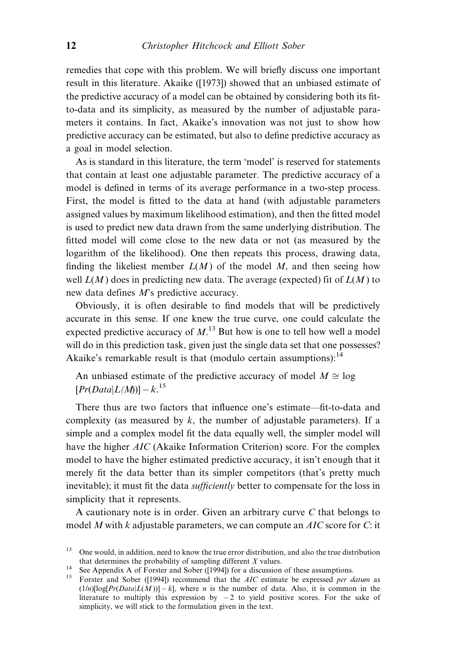remedies that cope with this problem. We will briefly discuss one important result in this literature. Akaike ([1973]) showed that an unbiased estimate of the predictive accuracy of a model can be obtained by considering both its fitto-data and its simplicity, as measured by the number of adjustable parameters it contains. In fact, Akaike's innovation was not just to show how predictive accuracy can be estimated, but also to define predictive accuracy as a goal in model selection.

As is standard in this literature, the term `model' is reserved for statements that contain at least one adjustable parameter. The predictive accuracy of a model is defined in terms of its average performance in a two-step process. First, the model is fitted to the data at hand (with adjustable parameters assigned values by maximum likelihood estimation), and then the fitted model is used to predict new data drawn from the same underlying distribution. The fitted model will come close to the new data or not (as measured by the logarithm of the likelihood). One then repeats this process, drawing data, finding the likeliest member  $L(M)$  of the model M, and then seeing how well  $L(M)$  does in predicting new data. The average (expected) fit of  $L(M)$  to new data defines M's predictive accuracy.

Obviously, it is often desirable to find models that will be predictively accurate in this sense. If one knew the true curve, one could calculate the expected predictive accuracy of  $M$ .<sup>13</sup> But how is one to tell how well a model will do in this prediction task, given just the single data set that one possesses? Akaike's remarkable result is that (modulo certain assumptions): $^{14}$ 

An unbiased estimate of the predictive accuracy of model  $M \cong \log$  $[Pr(Data|L(M))] - k.<sup>15</sup>$ 

There thus are two factors that influence one's estimate—fit-to-data and complexity (as measured by  $k$ , the number of adjustable parameters). If a simple and a complex model fit the data equally well, the simpler model will have the higher *AIC* (Akaike Information Criterion) score. For the complex model to have the higher estimated predictive accuracy, it isn't enough that it merely fit the data better than its simpler competitors (that's pretty much inevitable); it must fit the data *sufficiently* better to compensate for the loss in simplicity that it represents.

A cautionary note is in order. Given an arbitrary curve C that belongs to model M with k adjustable parameters, we can compute an  $AIC$  score for C: it

<sup>&</sup>lt;sup>13</sup> One would, in addition, need to know the true error distribution, and also the true distribution that determines the probability of sampling different  $X$  values.

<sup>14</sup> See Appendix A of Forster and Sober ([1994]) for a discussion of these assumptions.<br><sup>15</sup> Forster and Sober ([1994]) recommend that the *AIC* estimate be expressed *per datum* as  $(1/n)[\log[Pr(Data|L(M))] - k]$ , where *n* is the number of data. Also, it is common in the literature to multiply this expression by  $-2$  to yield positive scores. For the sake of simplicity, we will stick to the formulation given in the text.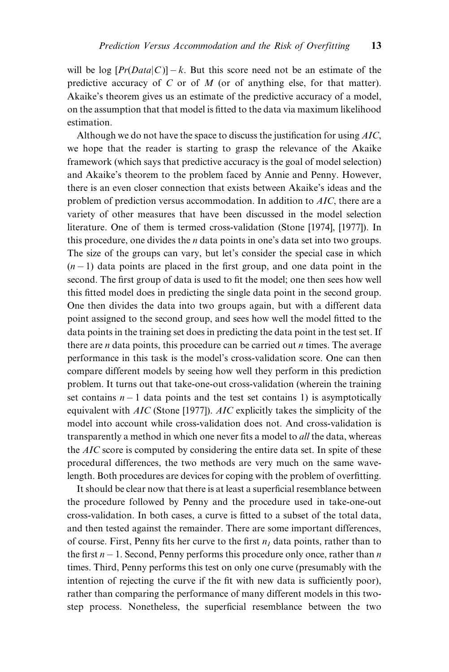will be log  $[Pr(Data|C)] - k$ . But this score need not be an estimate of the predictive accuracy of  $C$  or of  $M$  (or of anything else, for that matter). Akaike's theorem gives us an estimate of the predictive accuracy of a model, on the assumption that that model is fitted to the data via maximum likelihood estimation.

Although we do not have the space to discuss the justification for using  $AIC$ , we hope that the reader is starting to grasp the relevance of the Akaike framework (which says that predictive accuracy is the goal of model selection) and Akaike's theorem to the problem faced by Annie and Penny. However, there is an even closer connection that exists between Akaike's ideas and the problem of prediction versus accommodation. In addition to AIC, there are a variety of other measures that have been discussed in the model selection literature. One of them is termed cross-validation (Stone [1974], [1977]). In this procedure, one divides the  $n$  data points in one's data set into two groups. The size of the groups can vary, but let's consider the special case in which  $(n-1)$  data points are placed in the first group, and one data point in the second. The first group of data is used to fit the model; one then sees how well this fitted model does in predicting the single data point in the second group. One then divides the data into two groups again, but with a different data point assigned to the second group, and sees how well the model fitted to the data points in the training set does in predicting the data point in the test set. If there are  $n$  data points, this procedure can be carried out  $n$  times. The average performance in this task is the model's cross-validation score. One can then compare different models by seeing how well they perform in this prediction problem. It turns out that take-one-out cross-validation (wherein the training set contains  $n - 1$  data points and the test set contains 1) is asymptotically equivalent with  $AIC$  (Stone [1977]).  $AIC$  explicitly takes the simplicity of the model into account while cross-validation does not. And cross-validation is transparently a method in which one never fits a model to *all* the data, whereas the AIC score is computed by considering the entire data set. In spite of these procedural differences, the two methods are very much on the same wavelength. Both procedures are devices for coping with the problem of overfitting.

It should be clear now that there is at least a superficial resemblance between the procedure followed by Penny and the procedure used in take-one-out cross-validation. In both cases, a curve is fitted to a subset of the total data, and then tested against the remainder. There are some important differences, of course. First, Penny fits her curve to the first  $n_1$  data points, rather than to the first  $n - 1$ . Second, Penny performs this procedure only once, rather than n times. Third, Penny performs this test on only one curve (presumably with the intention of rejecting the curve if the fit with new data is sufficiently poor), rather than comparing the performance of many different models in this twostep process. Nonetheless, the superficial resemblance between the two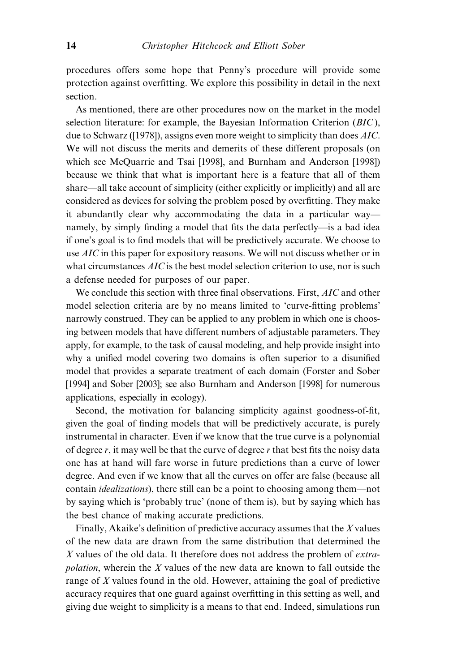procedures offers some hope that Penny's procedure will provide some protection against overfitting. We explore this possibility in detail in the next section.

As mentioned, there are other procedures now on the market in the model selection literature: for example, the Bayesian Information Criterion (BIC), due to Schwarz ([1978]), assigns even more weight to simplicity than does *AIC*. We will not discuss the merits and demerits of these different proposals (on which see McQuarrie and Tsai [1998], and Burnham and Anderson [1998]) because we think that what is important here is a feature that all of them share—all take account of simplicity (either explicitly or implicitly) and all are considered as devices for solving the problem posed by overfitting. They make it abundantly clear why accommodating the data in a particular way namely, by simply finding a model that fits the data perfectly—is a bad idea if one's goal is to find models that will be predictively accurate. We choose to use AIC in this paper for expository reasons. We will not discuss whether or in what circumstances  $AIC$  is the best model selection criterion to use, nor is such a defense needed for purposes of our paper.

We conclude this section with three final observations. First, AIC and other model selection criteria are by no means limited to 'curve-fitting problems' narrowly construed. They can be applied to any problem in which one is choosing between models that have different numbers of adjustable parameters. They apply, for example, to the task of causal modeling, and help provide insight into why a unified model covering two domains is often superior to a disunified model that provides a separate treatment of each domain (Forster and Sober [1994] and Sober [2003]; see also Burnham and Anderson [1998] for numerous applications, especially in ecology).

Second, the motivation for balancing simplicity against goodness-of-fit, given the goal of finding models that will be predictively accurate, is purely instrumental in character. Even if we know that the true curve is a polynomial of degree r, it may well be that the curve of degree r that best fits the noisy data one has at hand will fare worse in future predictions than a curve of lower degree. And even if we know that all the curves on offer are false (because all contain *idealizations*), there still can be a point to choosing among them—not by saying which is `probably true' (none of them is), but by saying which has the best chance of making accurate predictions.

Finally, Akaike's definition of predictive accuracy assumes that the  $X$  values of the new data are drawn from the same distribution that determined the X values of the old data. It therefore does not address the problem of extra*polation*, wherein the  $X$  values of the new data are known to fall outside the range of X values found in the old. However, attaining the goal of predictive accuracy requires that one guard against overfitting in this setting as well, and giving due weight to simplicity is a means to that end. Indeed, simulations run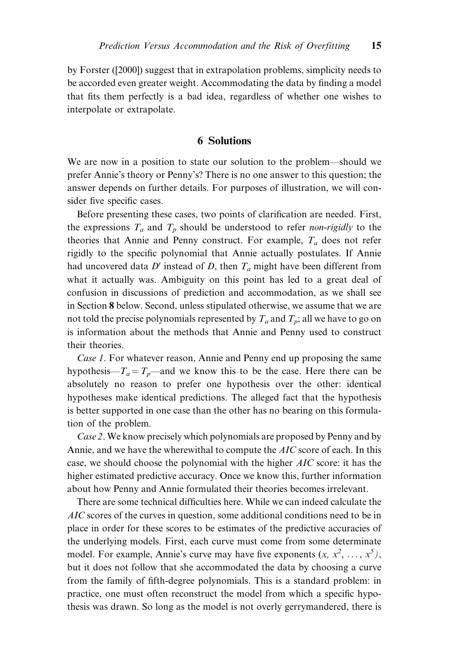by Forster ([2000]) suggest that in extrapolation problems, simplicity needs to be accorded even greater weight. Accommodating the data by finding a model that fits them perfectly is a bad idea, regardless of whether one wishes to interpolate or extrapolate.

#### 6 Solutions

We are now in a position to state our solution to the problem—should we prefer Annie's theory or Penny's? There is no one answer to this question; the answer depends on further details. For purposes of illustration, we will consider five specific cases.

Before presenting these cases, two points of clarification are needed. First, the expressions  $T_a$  and  $T_p$  should be understood to refer *non-rigidly* to the theories that Annie and Penny construct. For example,  $T_a$  does not refer rigidly to the specific polynomial that Annie actually postulates. If Annie had uncovered data D' instead of D, then  $T_a$  might have been different from what it actually was. Ambiguity on this point has led to a great deal of confusion in discussions of prediction and accommodation, as we shall see in Section 8 below. Second, unless stipulated otherwise, we assume that we are not told the precise polynomials represented by  $T_a$  and  $T_p$ ; all we have to go on is information about the methods that Annie and Penny used to construct their theories.

Case 1. For whatever reason, Annie and Penny end up proposing the same hypothesis— $T_a = T_p$ —and we know this to be the case. Here there can be absolutely no reason to prefer one hypothesis over the other: identical hypotheses make identical predictions. The alleged fact that the hypothesis is better supported in one case than the other has no bearing on this formulation of the problem.

Case 2. We know precisely which polynomials are proposed by Penny and by Annie, and we have the wherewithal to compute the AIC score of each. In this case, we should choose the polynomial with the higher AIC score: it has the higher estimated predictive accuracy. Once we know this, further information about how Penny and Annie formulated their theories becomes irrelevant.

There are some technical difficulties here. While we can indeed calculate the AIC scores of the curves in question, some additional conditions need to be in place in order for these scores to be estimates of the predictive accuracies of the underlying models. First, each curve must come from some determinate model. For example, Annie's curve may have five exponents  $(x, x^2, ..., x^5)$ , but it does not follow that she accommodated the data by choosing a curve from the family of fifth-degree polynomials. This is a standard problem: in practice, one must often reconstruct the model from which a specific hypothesis was drawn. So long as the model is not overly gerrymandered, there is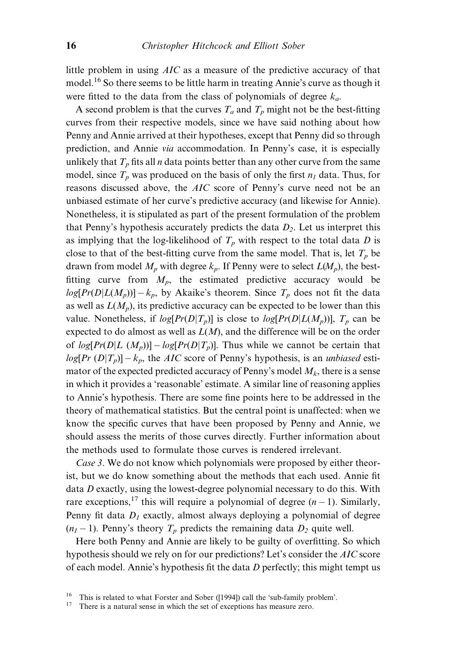little problem in using AIC as a measure of the predictive accuracy of that model.<sup>16</sup> So there seems to be little harm in treating Annie's curve as though it were fitted to the data from the class of polynomials of degree  $k_a$ .

A second problem is that the curves  $T_a$  and  $T_p$  might not be the best-fitting curves from their respective models, since we have said nothing about how Penny and Annie arrived at their hypotheses, except that Penny did so through prediction, and Annie via accommodation. In Penny's case, it is especially unlikely that  $T_p$  fits all *n* data points better than any other curve from the same model, since  $T_p$  was produced on the basis of only the first  $n_1$  data. Thus, for reasons discussed above, the AIC score of Penny's curve need not be an unbiased estimate of her curve's predictive accuracy (and likewise for Annie). Nonetheless, it is stipulated as part of the present formulation of the problem that Penny's hypothesis accurately predicts the data  $D_2$ . Let us interpret this as implying that the log-likelihood of  $T_p$  with respect to the total data D is close to that of the best-fitting curve from the same model. That is, let  $T_p$  be drawn from model  $M_p$  with degree  $k_p$ . If Penny were to select  $L(M_p)$ , the bestfitting curve from  $M_p$ , the estimated predictive accuracy would be  $log[Pr(D|L(M_p))] - k_p$ , by Akaike's theorem. Since  $T_p$  does not fit the data as well as  $L(M_p)$ , its predictive accuracy can be expected to be lower than this value. Nonetheless, if  $log[Pr(D|T_p)]$  is close to  $log[Pr(D|L(M_p))]$ ,  $T_p$  can be expected to do almost as well as  $L(M)$ , and the difference will be on the order of  $log[Pr(D|L (M_p))] - log[Pr(D|T_p)]$ . Thus while we cannot be certain that  $log[Pr(D|T_p)] - k_p$ , the AIC score of Penny's hypothesis, is an unbiased estimator of the expected predicted accuracy of Penny's model  $M_k$ , there is a sense in which it provides a 'reasonable' estimate. A similar line of reasoning applies to Annie's hypothesis. There are some fine points here to be addressed in the theory of mathematical statistics. But the central point is unaffected: when we know the specific curves that have been proposed by Penny and Annie, we should assess the merits of those curves directly. Further information about the methods used to formulate those curves is rendered irrelevant.

Case 3. We do not know which polynomials were proposed by either theorist, but we do know something about the methods that each used. Annie fit data  $D$  exactly, using the lowest-degree polynomial necessary to do this. With rare exceptions,<sup>17</sup> this will require a polynomial of degree  $(n - 1)$ . Similarly, Penny fit data  $D_1$  exactly, almost always deploying a polynomial of degree  $(n_1 - 1)$ . Penny's theory  $T_p$  predicts the remaining data  $D_2$  quite well.

Here both Penny and Annie are likely to be guilty of overfitting. So which hypothesis should we rely on for our predictions? Let's consider the AIC score of each model. Annie's hypothesis fit the data  $D$  perfectly; this might tempt us

<sup>&</sup>lt;sup>16</sup> This is related to what Forster and Sober ([1994]) call the 'sub-family problem'.<br><sup>17</sup> There is a natural sense in which the set of exceptions has measure zero.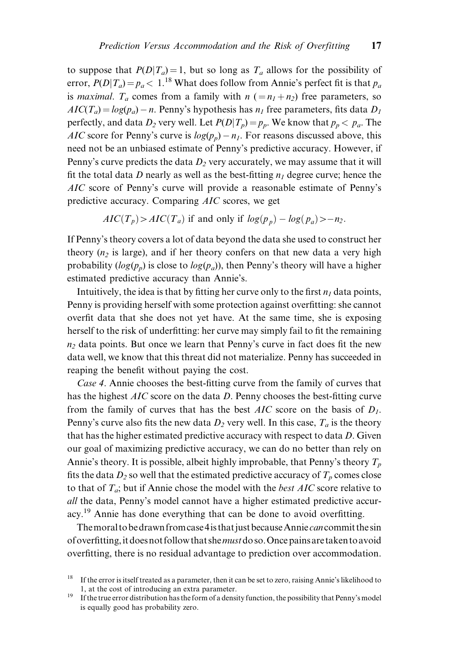to suppose that  $P(D|T_a) = 1$ , but so long as  $T_a$  allows for the possibility of error,  $P(D|T_a) = p_a < 1.^{18}$  What does follow from Annie's perfect fit is that  $p_a$ is *maximal.*  $T_a$  comes from a family with  $n (=n_1+n_2)$  free parameters, so  $AIC(T_a) = log(p_a) - n$ . Penny's hypothesis has  $n_1$  free parameters, fits data  $D_1$ perfectly, and data  $D_2$  very well. Let  $P(D|T_p) = p_p$ . We know that  $p_p < p_q$ . The AIC score for Penny's curve is  $log(p_n) - n_1$ . For reasons discussed above, this need not be an unbiased estimate of Penny's predictive accuracy. However, if Penny's curve predicts the data  $D_2$  very accurately, we may assume that it will fit the total data D nearly as well as the best-fitting  $n_1$  degree curve; hence the AIC score of Penny's curve will provide a reasonable estimate of Penny's predictive accuracy. Comparing AIC scores, we get

$$
AIC(T_p) > AIC(T_a)
$$
 if and only if  $log(p_p) - log(p_a) > -n_2$ .

If Penny's theory covers a lot of data beyond the data she used to construct her theory  $(n_2$  is large), and if her theory confers on that new data a very high probability ( $log(p_p)$ ) is close to  $log(p_a)$ ), then Penny's theory will have a higher estimated predictive accuracy than Annie's.

Intuitively, the idea is that by fitting her curve only to the first  $n_1$  data points, Penny is providing herself with some protection against overfitting: she cannot overfit data that she does not yet have. At the same time, she is exposing herself to the risk of underfitting: her curve may simply fail to fit the remaining  $n<sub>2</sub>$  data points. But once we learn that Penny's curve in fact does fit the new data well, we know that this threat did not materialize. Penny has succeeded in reaping the benefit without paying the cost.

Case 4. Annie chooses the best-fitting curve from the family of curves that has the highest  $AIC$  score on the data D. Penny chooses the best-fitting curve from the family of curves that has the best AIC score on the basis of  $D_1$ . Penny's curve also fits the new data  $D_2$  very well. In this case,  $T_a$  is the theory that has the higher estimated predictive accuracy with respect to data  $D$ . Given our goal of maximizing predictive accuracy, we can do no better than rely on Annie's theory. It is possible, albeit highly improbable, that Penny's theory  $T_p$ fits the data  $D_2$  so well that the estimated predictive accuracy of  $T_p$  comes close to that of  $T_a$ ; but if Annie chose the model with the *best AIC* score relative to all the data, Penny's model cannot have a higher estimated predictive accuracy.<sup>19</sup> Annie has done everything that can be done to avoid overfitting.

The moral to be drawn from case 4 is that just because Annie can commit the sin of overfitting, it does not follow that she must do so. Once pains are taken to avoid overfitting, there is no residual advantage to prediction over accommodation.

<sup>&</sup>lt;sup>18</sup> If the error is itself treated as a parameter, then it can be set to zero, raising Annie's likelihood to 1, at the cost of introducing an extra parameter. <sup>19</sup> If the true error distribution has the form of a density function, the possibility that Penny's model

is equally good has probability zero.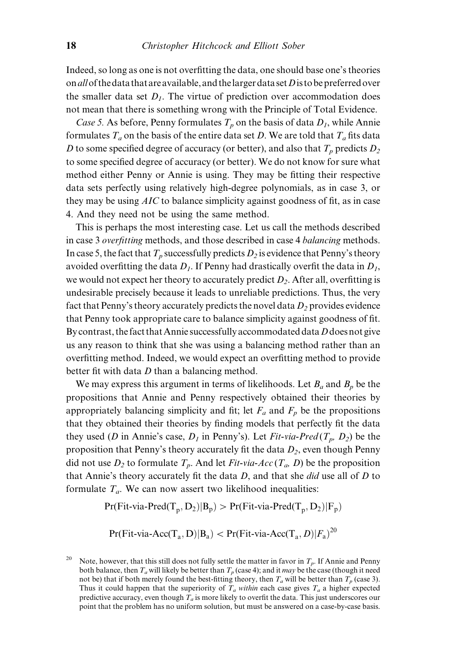Indeed, so long as one is not overfitting the data, one should base one's theories on all of the data that are available, and the larger data set  $D$  is to be preferred over the smaller data set  $D_1$ . The virtue of prediction over accommodation does not mean that there is something wrong with the Principle of Total Evidence.

Case 5. As before, Penny formulates  $T_p$  on the basis of data  $D_1$ , while Annie formulates  $T_a$  on the basis of the entire data set D. We are told that  $T_a$  fits data D to some specified degree of accuracy (or better), and also that  $T_p$  predicts  $D_2$ to some specified degree of accuracy (or better). We do not know for sure what method either Penny or Annie is using. They may be fitting their respective data sets perfectly using relatively high-degree polynomials, as in case 3, or they may be using  $AIC$  to balance simplicity against goodness of fit, as in case 4. And they need not be using the same method.

This is perhaps the most interesting case. Let us call the methods described in case 3 overfitting methods, and those described in case 4 balancing methods. In case 5, the fact that  $T_p$  successfully predicts  $D_2$  is evidence that Penny's theory avoided overfitting the data  $D_1$ . If Penny had drastically overfit the data in  $D_1$ , we would not expect her theory to accurately predict  $D_2$ . After all, overfitting is undesirable precisely because it leads to unreliable predictions. Thus, the very fact that Penny's theory accurately predicts the novel data  $D_2$  provides evidence that Penny took appropriate care to balance simplicity against goodness of fit. By contrast, the fact that Annie successfully accommodated data  $D$  does not give us any reason to think that she was using a balancing method rather than an overfitting method. Indeed, we would expect an overfitting method to provide better fit with data  $D$  than a balancing method.

We may express this argument in terms of likelihoods. Let  $B_a$  and  $B_p$  be the propositions that Annie and Penny respectively obtained their theories by appropriately balancing simplicity and fit; let  $F_a$  and  $F_p$  be the propositions that they obtained their theories by finding models that perfectly fit the data they used (D in Annie's case,  $D_1$  in Penny's). Let Fit-via-Pred $(T_p, D_2)$  be the proposition that Penny's theory accurately fit the data  $D_2$ , even though Penny did not use  $D_2$  to formulate  $T_p$ . And let Fit-via-Acc  $(T_a, D)$  be the proposition that Annie's theory accurately fit the data  $D$ , and that she *did* use all of  $D$  to formulate  $T_a$ . We can now assert two likelihood inequalities:

 $Pr(Fit-via-Pred(T_n, D_2)|B_p) > Pr(Fit-via-Pred(T_n, D_2)|F_p)$ 

$$
Pr(Fit\text{-}via\text{-}Acc(T_a, D) | B_a) < Pr(Fit\text{-}via\text{-}Acc(T_a, D) | F_a)^{20}
$$

<sup>&</sup>lt;sup>20</sup> Note, however, that this still does not fully settle the matter in favor in  $T_p$ . If Annie and Penny both balance, then  $T_a$  will likely be better than  $T_p$  (case 4); and it *may* be the case (though it need not be) that if both merely found the best-fitting theory, then  $T_a$  will be better than  $T_p$  (case 3). Thus it could happen that the superiority of  $T_a$  within each case gives  $T_a$  a higher expected predictive accuracy, even though  $T_a$  is more likely to overfit the data. This just underscores our point that the problem has no uniform solution, but must be answered on a case-by-case basis.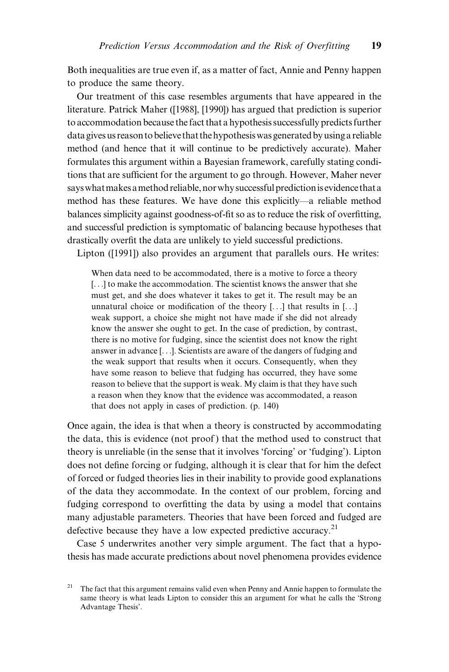Both inequalities are true even if, as a matter of fact, Annie and Penny happen to produce the same theory.

Our treatment of this case resembles arguments that have appeared in the literature. Patrick Maher ([1988], [1990]) has argued that prediction is superior to accommodation because the fact that a hypothesis successfully predicts further data gives us reason tobelieve that the hypothesiswas generated by using a reliable method (and hence that it will continue to be predictively accurate). Maher formulates this argument within a Bayesian framework, carefully stating conditions that are sufficient for the argument to go through. However, Maher never says what makes a method reliable, nor why successful prediction is evidence that a method has these features. We have done this explicitly—a reliable method balances simplicity against goodness-of-fit so as to reduce the risk of overfitting, and successful prediction is symptomatic of balancing because hypotheses that drastically overfit the data are unlikely to yield successful predictions.

Lipton ([1991]) also provides an argument that parallels ours. He writes:

When data need to be accommodated, there is a motive to force a theory [...] to make the accommodation. The scientist knows the answer that she must get, and she does whatever it takes to get it. The result may be an unnatural choice or modification of the theory  $[...]$  that results in  $[...]$ weak support, a choice she might not have made if she did not already know the answer she ought to get. In the case of prediction, by contrast, there is no motive for fudging, since the scientist does not know the right answer in advance [. . .]. Scientists are aware of the dangers of fudging and the weak support that results when it occurs. Consequently, when they have some reason to believe that fudging has occurred, they have some reason to believe that the support is weak. My claim is that they have such a reason when they know that the evidence was accommodated, a reason that does not apply in cases of prediction. (p. 140)

Once again, the idea is that when a theory is constructed by accommodating the data, this is evidence (not proof ) that the method used to construct that theory is unreliable (in the sense that it involves `forcing' or `fudging'). Lipton does not define forcing or fudging, although it is clear that for him the defect of forced or fudged theories lies in their inability to provide good explanations of the data they accommodate. In the context of our problem, forcing and fudging correspond to overfitting the data by using a model that contains many adjustable parameters. Theories that have been forced and fudged are defective because they have a low expected predictive accuracy.<sup>21</sup>

Case 5 underwrites another very simple argument. The fact that a hypothesis has made accurate predictions about novel phenomena provides evidence

<sup>&</sup>lt;sup>21</sup> The fact that this argument remains valid even when Penny and Annie happen to formulate the same theory is what leads Lipton to consider this an argument for what he calls the `Strong Advantage Thesis'.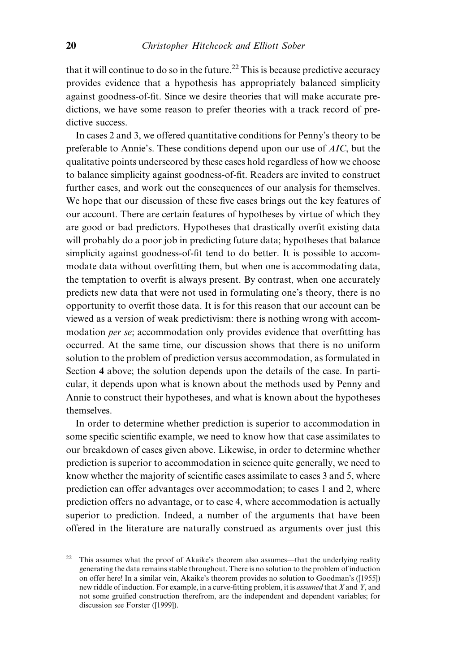that it will continue to do so in the future.<sup>22</sup> This is because predictive accuracy provides evidence that a hypothesis has appropriately balanced simplicity against goodness-of-fit. Since we desire theories that will make accurate predictions, we have some reason to prefer theories with a track record of predictive success.

In cases 2 and 3, we offered quantitative conditions for Penny's theory to be preferable to Annie's. These conditions depend upon our use of AIC, but the qualitative points underscored by these cases hold regardless of how we choose to balance simplicity against goodness-of-fit. Readers are invited to construct further cases, and work out the consequences of our analysis for themselves. We hope that our discussion of these five cases brings out the key features of our account. There are certain features of hypotheses by virtue of which they are good or bad predictors. Hypotheses that drastically overfit existing data will probably do a poor job in predicting future data; hypotheses that balance simplicity against goodness-of-fit tend to do better. It is possible to accommodate data without overfitting them, but when one is accommodating data, the temptation to overfit is always present. By contrast, when one accurately predicts new data that were not used in formulating one's theory, there is no opportunity to overfit those data. It is for this reason that our account can be viewed as a version of weak predictivism: there is nothing wrong with accommodation *per se*; accommodation only provides evidence that overfitting has occurred. At the same time, our discussion shows that there is no uniform solution to the problem of prediction versus accommodation, as formulated in Section 4 above; the solution depends upon the details of the case. In particular, it depends upon what is known about the methods used by Penny and Annie to construct their hypotheses, and what is known about the hypotheses themselves.

In order to determine whether prediction is superior to accommodation in some specific scientific example, we need to know how that case assimilates to our breakdown of cases given above. Likewise, in order to determine whether prediction is superior to accommodation in science quite generally, we need to know whether the majority of scientific cases assimilate to cases 3 and 5, where prediction can offer advantages over accommodation; to cases 1 and 2, where prediction offers no advantage, or to case 4, where accommodation is actually superior to prediction. Indeed, a number of the arguments that have been offered in the literature are naturally construed as arguments over just this

<sup>&</sup>lt;sup>22</sup> This assumes what the proof of Akaike's theorem also assumes—that the underlying reality generating the data remains stable throughout. There is no solution to the problem of induction on offer here! In a similar vein, Akaike's theorem provides no solution to Goodman's ([1955]) new riddle of induction. For example, in a curve-fitting problem, it is *assumed* that X and Y, and not some gruified construction therefrom, are the independent and dependent variables; for discussion see Forster ([1999]).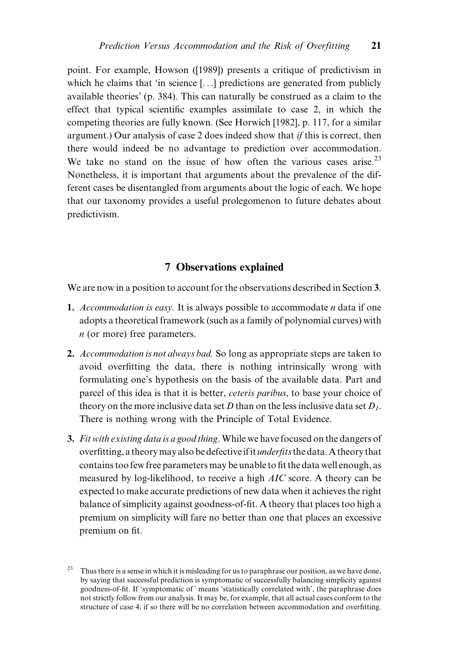point. For example, Howson ([1989]) presents a critique of predictivism in which he claims that 'in science  $[...]$  predictions are generated from publicly available theories' (p. 384). This can naturally be construed as a claim to the effect that typical scientific examples assimilate to case 2, in which the competing theories are fully known. (See Horwich [1982], p. 117, for a similar argument.) Our analysis of case 2 does indeed show that if this is correct, then there would indeed be no advantage to prediction over accommodation. We take no stand on the issue of how often the various cases arise.<sup>23</sup> Nonetheless, it is important that arguments about the prevalence of the different cases be disentangled from arguments about the logic of each. We hope that our taxonomy provides a useful prolegomenon to future debates about predictivism.

# 7 Observations explained

We are now in a position to account for the observations described in Section 3.

- 1. Accommodation is easy. It is always possible to accommodate  $n$  data if one adopts a theoretical framework (such as a family of polynomial curves) with  $n$  (or more) free parameters.
- 2. Accommodation is not always bad. So long as appropriate steps are taken to avoid overfitting the data, there is nothing intrinsically wrong with formulating one's hypothesis on the basis of the available data. Part and parcel of this idea is that it is better, ceteris paribus, to base your choice of theory on the more inclusive data set D than on the less inclusive data set  $D_1$ . There is nothing wrong with the Principle of Total Evidence.
- 3. Fit with existing data is a good thing. While we have focused on the dangers of overfitting, a theory may also be defective if it *underfits* the data. A theory that contains too few free parameters may be unable to fit the data well enough, as measured by log-likelihood, to receive a high AIC score. A theory can be expected to make accurate predictions of new data when it achieves the right balance of simplicity against goodness-of-fit. A theory that places too high a premium on simplicity will fare no better than one that places an excessive premium on fit.

<sup>&</sup>lt;sup>23</sup> Thus there is a sense in which it is misleading for us to paraphrase our position, as we have done, by saying that successful prediction is symptomatic of successfully balancing simplicity against goodness-of-fit. If 'symptomatic of' means 'statistically correlated with', the paraphrase does not strictly follow from our analysis. It may be, for example, that all actual cases conform to the structure of case 4; if so there will be no correlation between accommodation and overfitting.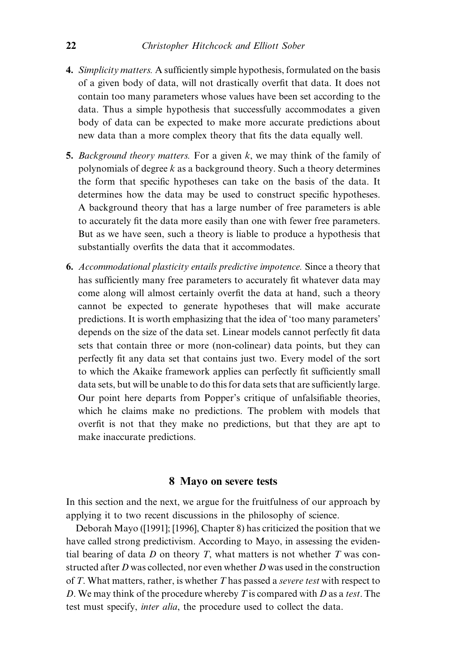- 4. Simplicity matters. A sufficiently simple hypothesis, formulated on the basis of a given body of data, will not drastically overfit that data. It does not contain too many parameters whose values have been set according to the data. Thus a simple hypothesis that successfully accommodates a given body of data can be expected to make more accurate predictions about new data than a more complex theory that fits the data equally well.
- 5. Background theory matters. For a given  $k$ , we may think of the family of polynomials of degree  $k$  as a background theory. Such a theory determines the form that specific hypotheses can take on the basis of the data. It determines how the data may be used to construct specific hypotheses. A background theory that has a large number of free parameters is able to accurately fit the data more easily than one with fewer free parameters. But as we have seen, such a theory is liable to produce a hypothesis that substantially overfits the data that it accommodates.
- 6. Accommodational plasticity entails predictive impotence. Since a theory that has sufficiently many free parameters to accurately fit whatever data may come along will almost certainly overfit the data at hand, such a theory cannot be expected to generate hypotheses that will make accurate predictions. It is worth emphasizing that the idea of `too many parameters' depends on the size of the data set. Linear models cannot perfectly fit data sets that contain three or more (non-colinear) data points, but they can perfectly fit any data set that contains just two. Every model of the sort to which the Akaike framework applies can perfectly fit sufficiently small data sets, but will be unable to do this for data sets that are sufficiently large. Our point here departs from Popper's critique of unfalsifiable theories, which he claims make no predictions. The problem with models that overfit is not that they make no predictions, but that they are apt to make inaccurate predictions.

#### 8 Mayo on severe tests

In this section and the next, we argue for the fruitfulness of our approach by applying it to two recent discussions in the philosophy of science.

Deborah Mayo ([1991]; [1996], Chapter 8) has criticized the position that we have called strong predictivism. According to Mayo, in assessing the evidential bearing of data  $D$  on theory  $T$ , what matters is not whether  $T$  was constructed after  $D$  was collected, nor even whether  $D$  was used in the construction of  $T$ . What matters, rather, is whether  $T$  has passed a *severe test* with respect to D. We may think of the procedure whereby  $T$  is compared with  $D$  as a test. The test must specify, inter alia, the procedure used to collect the data.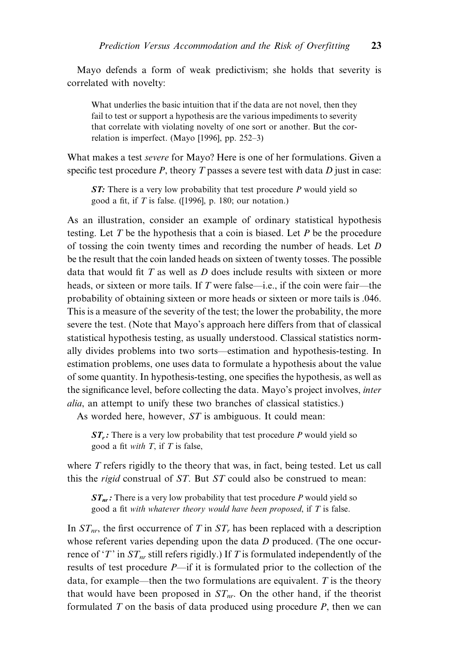Mayo defends a form of weak predictivism; she holds that severity is correlated with novelty:

What underlies the basic intuition that if the data are not novel, then they fail to test or support a hypothesis are the various impediments to severity that correlate with violating novelty of one sort or another. But the correlation is imperfect. (Mayo [1996], pp.  $252-3$ )

What makes a test severe for Mayo? Here is one of her formulations. Given a specific test procedure P, theory T passes a severe test with data  $D$  just in case:

 $ST:$  There is a very low probability that test procedure P would yield so good a fit, if  $T$  is false. ([1996], p. 180; our notation.)

As an illustration, consider an example of ordinary statistical hypothesis testing. Let  $T$  be the hypothesis that a coin is biased. Let  $P$  be the procedure of tossing the coin twenty times and recording the number of heads. Let D be the result that the coin landed heads on sixteen of twenty tosses. The possible data that would fit  $T$  as well as  $D$  does include results with sixteen or more heads, or sixteen or more tails. If T were false—i.e., if the coin were fair—the probability of obtaining sixteen or more heads or sixteen or more tails is .046. This is a measure of the severity of the test; the lower the probability, the more severe the test. (Note that Mayo's approach here differs from that of classical statistical hypothesis testing, as usually understood. Classical statistics normally divides problems into two sorts—estimation and hypothesis-testing. In estimation problems, one uses data to formulate a hypothesis about the value of some quantity. In hypothesis-testing, one specifies the hypothesis, as well as the significance level, before collecting the data. Mayo's project involves, inter alia, an attempt to unify these two branches of classical statistics.)

As worded here, however, ST is ambiguous. It could mean:

 $ST_r$ : There is a very low probability that test procedure P would yield so good a fit with  $T$ , if  $T$  is false,

where T refers rigidly to the theory that was, in fact, being tested. Let us call this the *rigid* construal of  $ST$ . But  $ST$  could also be construed to mean:

 $ST_{nr}$ : There is a very low probability that test procedure P would yield so good a fit with whatever theory would have been proposed, if  $T$  is false.

In  $ST_{nr}$ , the first occurrence of T in  $ST_r$  has been replaced with a description whose referent varies depending upon the data D produced. (The one occurrence of 'T' in  $ST_{nr}$  still refers rigidly.) If T is formulated independently of the results of test procedure  $P$ —if it is formulated prior to the collection of the data, for example—then the two formulations are equivalent. T is the theory that would have been proposed in  $ST_{nr}$ . On the other hand, if the theorist formulated  $T$  on the basis of data produced using procedure  $P$ , then we can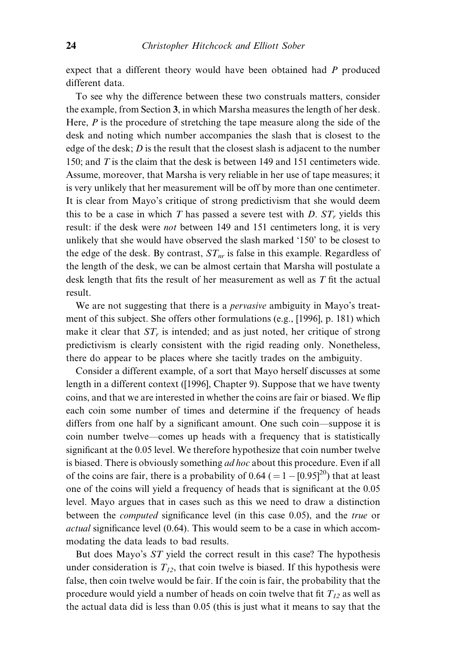expect that a different theory would have been obtained had P produced different data.

To see why the difference between these two construals matters, consider the example, from Section 3, in which Marsha measures the length of her desk. Here,  $P$  is the procedure of stretching the tape measure along the side of the desk and noting which number accompanies the slash that is closest to the edge of the desk;  $D$  is the result that the closest slash is adjacent to the number 150; and T is the claim that the desk is between 149 and 151 centimeters wide. Assume, moreover, that Marsha is very reliable in her use of tape measures; it is very unlikely that her measurement will be off by more than one centimeter. It is clear from Mayo's critique of strong predictivism that she would deem this to be a case in which T has passed a severe test with D.  $ST_r$  yields this result: if the desk were *not* between 149 and 151 centimeters long, it is very unlikely that she would have observed the slash marked `150' to be closest to the edge of the desk. By contrast,  $ST_{nr}$  is false in this example. Regardless of the length of the desk, we can be almost certain that Marsha will postulate a desk length that fits the result of her measurement as well as  $T$  fit the actual result.

We are not suggesting that there is a *pervasive* ambiguity in Mayo's treatment of this subject. She offers other formulations (e.g., [1996], p. 181) which make it clear that  $ST<sub>r</sub>$  is intended; and as just noted, her critique of strong predictivism is clearly consistent with the rigid reading only. Nonetheless, there do appear to be places where she tacitly trades on the ambiguity.

Consider a different example, of a sort that Mayo herself discusses at some length in a different context ([1996], Chapter 9). Suppose that we have twenty coins, and that we are interested in whether the coins are fair or biased. We flip each coin some number of times and determine if the frequency of heads differs from one half by a significant amount. One such coin—suppose it is coin number twelve—comes up heads with a frequency that is statistically significant at the 0.05 level. We therefore hypothesize that coin number twelve is biased. There is obviously something *ad hoc* about this procedure. Even if all of the coins are fair, there is a probability of  $0.64$  ( $= 1 - [0.95]^{20}$ ) that at least one of the coins will yield a frequency of heads that is significant at the 0.05 level. Mayo argues that in cases such as this we need to draw a distinction between the *computed* significance level (in this case 0.05), and the *true* or  $actual$  significance level (0.64). This would seem to be a case in which accommodating the data leads to bad results.

But does Mayo's ST yield the correct result in this case? The hypothesis under consideration is  $T_{12}$ , that coin twelve is biased. If this hypothesis were false, then coin twelve would be fair. If the coin is fair, the probability that the procedure would yield a number of heads on coin twelve that fit  $T_{12}$  as well as the actual data did is less than 0.05 (this is just what it means to say that the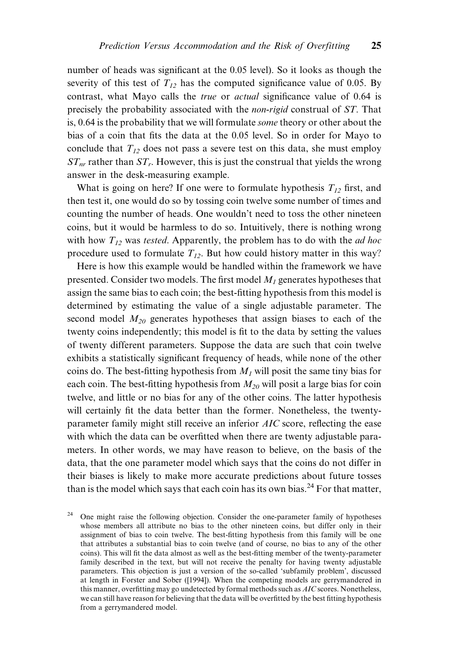number of heads was significant at the 0.05 level). So it looks as though the severity of this test of  $T_{12}$  has the computed significance value of 0.05. By contrast, what Mayo calls the *true* or *actual* significance value of 0.64 is precisely the probability associated with the non-rigid construal of ST. That is, 0.64 is the probability that we will formulate some theory or other about the bias of a coin that fits the data at the 0.05 level. So in order for Mayo to conclude that  $T_{12}$  does not pass a severe test on this data, she must employ  $ST_{nr}$  rather than  $ST_r$ . However, this is just the construal that yields the wrong answer in the desk-measuring example.

What is going on here? If one were to formulate hypothesis  $T_{12}$  first, and then test it, one would do so by tossing coin twelve some number of times and counting the number of heads. One wouldn't need to toss the other nineteen coins, but it would be harmless to do so. Intuitively, there is nothing wrong with how  $T_{12}$  was *tested*. Apparently, the problem has to do with the *ad hoc* procedure used to formulate  $T_{12}$ . But how could history matter in this way?

Here is how this example would be handled within the framework we have presented. Consider two models. The first model  $M_1$  generates hypotheses that assign the same bias to each coin; the best-fitting hypothesis from this model is determined by estimating the value of a single adjustable parameter. The second model  $M_{20}$  generates hypotheses that assign biases to each of the twenty coins independently; this model is fit to the data by setting the values of twenty different parameters. Suppose the data are such that coin twelve exhibits a statistically significant frequency of heads, while none of the other coins do. The best-fitting hypothesis from  $M<sub>1</sub>$  will posit the same tiny bias for each coin. The best-fitting hypothesis from  $M_{20}$  will posit a large bias for coin twelve, and little or no bias for any of the other coins. The latter hypothesis will certainly fit the data better than the former. Nonetheless, the twentyparameter family might still receive an inferior  $AIC$  score, reflecting the ease with which the data can be overfitted when there are twenty adjustable parameters. In other words, we may have reason to believe, on the basis of the data, that the one parameter model which says that the coins do not differ in their biases is likely to make more accurate predictions about future tosses than is the model which says that each coin has its own bias.<sup>24</sup> For that matter,

<sup>24</sup> One might raise the following objection. Consider the one-parameter family of hypotheses whose members all attribute no bias to the other nineteen coins, but differ only in their assignment of bias to coin twelve. The best-fitting hypothesis from this family will be one that attributes a substantial bias to coin twelve (and of course, no bias to any of the other coins). This will fit the data almost as well as the best-fitting member of the twenty-parameter family described in the text, but will not receive the penalty for having twenty adjustable parameters. This objection is just a version of the so-called `subfamily problem', discussed at length in Forster and Sober ([1994]). When the competing models are gerrymandered in this manner, overfitting may go undetected by formal methods such as  $AIC$  scores. Nonetheless, we can still have reason for believing that the data will be overfitted by the best fitting hypothesis from a gerrymandered model.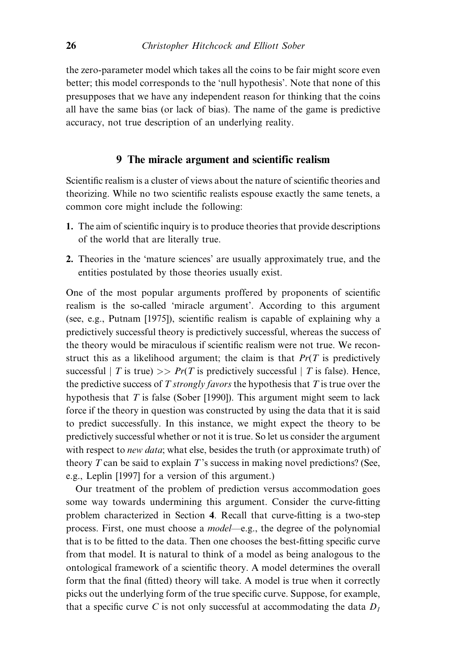the zero-parameter model which takes all the coins to be fair might score even better; this model corresponds to the `null hypothesis'. Note that none of this presupposes that we have any independent reason for thinking that the coins all have the same bias (or lack of bias). The name of the game is predictive accuracy, not true description of an underlying reality.

# 9 The miracle argument and scientific realism

Scientific realism is a cluster of views about the nature of scientific theories and theorizing. While no two scientific realists espouse exactly the same tenets, a common core might include the following:

- 1. The aim of scientific inquiry is to produce theories that provide descriptions of the world that are literally true.
- 2. Theories in the `mature sciences' are usually approximately true, and the entities postulated by those theories usually exist.

One of the most popular arguments proffered by proponents of scientific realism is the so-called `miracle argument'. According to this argument (see, e.g., Putnam  $[1975]$ ), scientific realism is capable of explaining why a predictively successful theory is predictively successful, whereas the success of the theory would be miraculous if scientific realism were not true. We reconstruct this as a likelihood argument; the claim is that  $Pr(T$  is predictively successful | T is true) >>  $Pr(T$  is predictively successful | T is false). Hence, the predictive success of T strongly favors the hypothesis that T is true over the hypothesis that  $T$  is false (Sober [1990]). This argument might seem to lack force if the theory in question was constructed by using the data that it is said to predict successfully. In this instance, we might expect the theory to be predictively successful whether or not it is true. So let us consider the argument with respect to *new data*; what else, besides the truth (or approximate truth) of theory  $T$  can be said to explain  $T$ 's success in making novel predictions? (See, e.g., Leplin [1997] for a version of this argument.)

Our treatment of the problem of prediction versus accommodation goes some way towards undermining this argument. Consider the curve-fitting problem characterized in Section 4. Recall that curve-fitting is a two-step process. First, one must choose a *model*—e.g., the degree of the polynomial that is to be fitted to the data. Then one chooses the best-fitting specific curve from that model. It is natural to think of a model as being analogous to the ontological framework of a scientific theory. A model determines the overall form that the final (fitted) theory will take. A model is true when it correctly picks out the underlying form of the true specific curve. Suppose, for example, that a specific curve C is not only successful at accommodating the data  $D_1$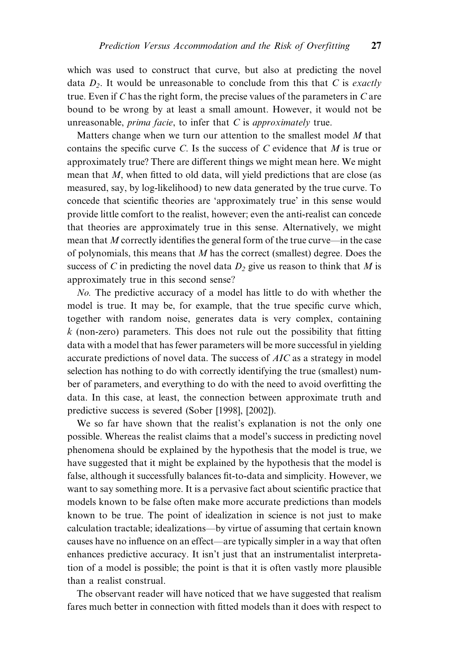which was used to construct that curve, but also at predicting the novel data  $D_2$ . It would be unreasonable to conclude from this that C is exactly true. Even if  $C$  has the right form, the precise values of the parameters in  $C$  are bound to be wrong by at least a small amount. However, it would not be unreasonable,  $prima$  facie, to infer that  $C$  is approximately true.

Matters change when we turn our attention to the smallest model  $M$  that contains the specific curve C. Is the success of C evidence that M is true or approximately true? There are different things we might mean here. We might mean that  $M$ , when fitted to old data, will yield predictions that are close (as measured, say, by log-likelihood) to new data generated by the true curve. To concede that scientific theories are 'approximately true' in this sense would provide little comfort to the realist, however; even the anti-realist can concede that theories are approximately true in this sense. Alternatively, we might mean that  $M$  correctly identifies the general form of the true curve—in the case of polynomials, this means that M has the correct (smallest) degree. Does the success of C in predicting the novel data  $D_2$  give us reason to think that M is approximately true in this second sense?

No. The predictive accuracy of a model has little to do with whether the model is true. It may be, for example, that the true specific curve which, together with random noise, generates data is very complex, containing  $k$  (non-zero) parameters. This does not rule out the possibility that fitting data with a model that has fewer parameters will be more successful in yielding accurate predictions of novel data. The success of AIC as a strategy in model selection has nothing to do with correctly identifying the true (smallest) number of parameters, and everything to do with the need to avoid overfitting the data. In this case, at least, the connection between approximate truth and predictive success is severed (Sober [1998], [2002]).

We so far have shown that the realist's explanation is not the only one possible. Whereas the realist claims that a model's success in predicting novel phenomena should be explained by the hypothesis that the model is true, we have suggested that it might be explained by the hypothesis that the model is false, although it successfully balances fit-to-data and simplicity. However, we want to say something more. It is a pervasive fact about scientific practice that models known to be false often make more accurate predictions than models known to be true. The point of idealization in science is not just to make calculation tractable; idealizations—by virtue of assuming that certain known causes have no influence on an effect—are typically simpler in a way that often enhances predictive accuracy. It isn't just that an instrumentalist interpretation of a model is possible; the point is that it is often vastly more plausible than a realist construal.

The observant reader will have noticed that we have suggested that realism fares much better in connection with fitted models than it does with respect to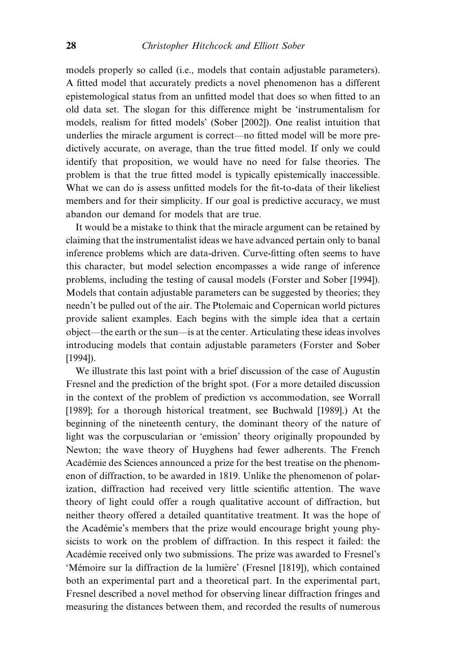models properly so called (i.e., models that contain adjustable parameters). A fitted model that accurately predicts a novel phenomenon has a different epistemological status from an unfitted model that does so when fitted to an old data set. The slogan for this difference might be `instrumentalism for models, realism for fitted models' (Sober [2002]). One realist intuition that underlies the miracle argument is correct—no fitted model will be more predictively accurate, on average, than the true fitted model. If only we could identify that proposition, we would have no need for false theories. The problem is that the true fitted model is typically epistemically inaccessible. What we can do is assess unfitted models for the fit-to-data of their likeliest members and for their simplicity. If our goal is predictive accuracy, we must abandon our demand for models that are true.

It would be a mistake to think that the miracle argument can be retained by claiming that the instrumentalist ideas we have advanced pertain only to banal inference problems which are data-driven. Curve-fitting often seems to have this character, but model selection encompasses a wide range of inference problems, including the testing of causal models (Forster and Sober [1994]). Models that contain adjustable parameters can be suggested by theories; they needn't be pulled out of the air. The Ptolemaic and Copernican world pictures provide salient examples. Each begins with the simple idea that a certain object—the earth or the sun—is at the center. Articulating these ideas involves introducing models that contain adjustable parameters (Forster and Sober [1994]).

We illustrate this last point with a brief discussion of the case of Augustin Fresnel and the prediction of the bright spot. (For a more detailed discussion in the context of the problem of prediction vs accommodation, see Worrall [1989]; for a thorough historical treatment, see Buchwald [1989].) At the beginning of the nineteenth century, the dominant theory of the nature of light was the corpuscularian or 'emission' theory originally propounded by Newton; the wave theory of Huyghens had fewer adherents. The French Académie des Sciences announced a prize for the best treatise on the phenomenon of diffraction, to be awarded in 1819. Unlike the phenomenon of polarization, diffraction had received very little scientific attention. The wave theory of light could offer a rough qualitative account of diffraction, but neither theory offered a detailed quantitative treatment. It was the hope of the Académie's members that the prize would encourage bright young physicists to work on the problem of diffraction. In this respect it failed: the Académie received only two submissions. The prize was awarded to Fresnel's 'Mémoire sur la diffraction de la lumière' (Fresnel [1819]), which contained both an experimental part and a theoretical part. In the experimental part, Fresnel described a novel method for observing linear diffraction fringes and measuring the distances between them, and recorded the results of numerous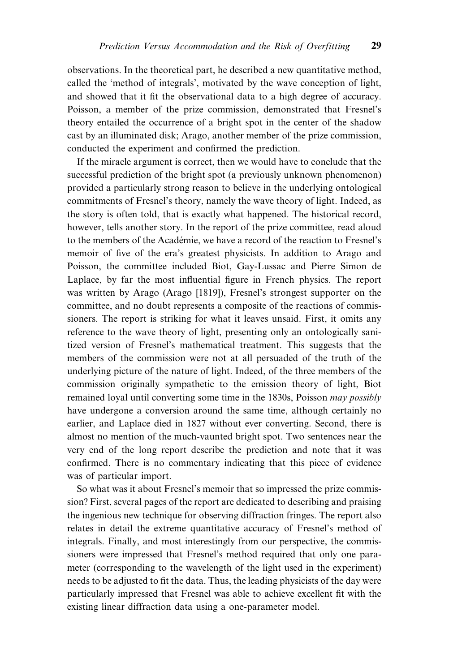observations. In the theoretical part, he described a new quantitative method, called the `method of integrals', motivated by the wave conception of light, and showed that it fit the observational data to a high degree of accuracy. Poisson, a member of the prize commission, demonstrated that Fresnel's theory entailed the occurrence of a bright spot in the center of the shadow cast by an illuminated disk; Arago, another member of the prize commission, conducted the experiment and confirmed the prediction.

If the miracle argument is correct, then we would have to conclude that the successful prediction of the bright spot (a previously unknown phenomenon) provided a particularly strong reason to believe in the underlying ontological commitments of Fresnel's theory, namely the wave theory of light. Indeed, as the story is often told, that is exactly what happened. The historical record, however, tells another story. In the report of the prize committee, read aloud to the members of the Académie, we have a record of the reaction to Fresnel's memoir of five of the era's greatest physicists. In addition to Arago and Poisson, the committee included Biot, Gay-Lussac and Pierre Simon de Laplace, by far the most influential figure in French physics. The report was written by Arago (Arago [1819]), Fresnel's strongest supporter on the committee, and no doubt represents a composite of the reactions of commissioners. The report is striking for what it leaves unsaid. First, it omits any reference to the wave theory of light, presenting only an ontologically sanitized version of Fresnel's mathematical treatment. This suggests that the members of the commission were not at all persuaded of the truth of the underlying picture of the nature of light. Indeed, of the three members of the commission originally sympathetic to the emission theory of light, Biot remained loyal until converting some time in the 1830s, Poisson may possibly have undergone a conversion around the same time, although certainly no earlier, and Laplace died in 1827 without ever converting. Second, there is almost no mention of the much-vaunted bright spot. Two sentences near the very end of the long report describe the prediction and note that it was confirmed. There is no commentary indicating that this piece of evidence was of particular import.

So what was it about Fresnel's memoir that so impressed the prize commission? First, several pages of the report are dedicated to describing and praising the ingenious new technique for observing diffraction fringes. The report also relates in detail the extreme quantitative accuracy of Fresnel's method of integrals. Finally, and most interestingly from our perspective, the commissioners were impressed that Fresnel's method required that only one parameter (corresponding to the wavelength of the light used in the experiment) needs to be adjusted to fit the data. Thus, the leading physicists of the day were particularly impressed that Fresnel was able to achieve excellent fit with the existing linear diffraction data using a one-parameter model.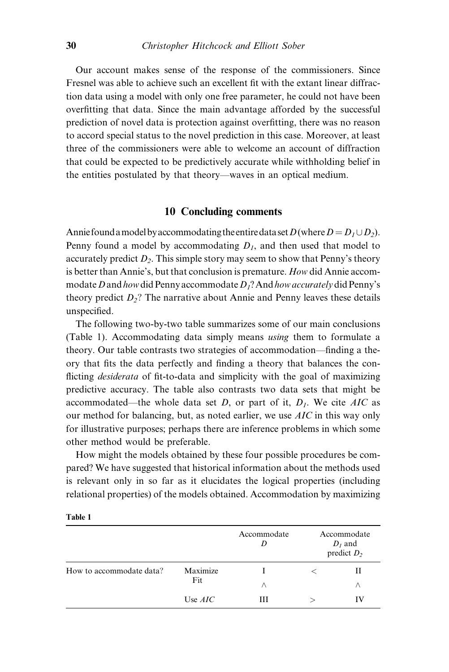Our account makes sense of the response of the commissioners. Since Fresnel was able to achieve such an excellent fit with the extant linear diffraction data using a model with only one free parameter, he could not have been overfitting that data. Since the main advantage afforded by the successful prediction of novel data is protection against overfitting, there was no reason to accord special status to the novel prediction in this case. Moreover, at least three of the commissioners were able to welcome an account of diffraction that could be expected to be predictively accurate while withholding belief in the entities postulated by that theory—waves in an optical medium.

# 10 Concluding comments

Annie found a model by accommodating the entire data set  $D$  (where  $D = D_1 \cup D_2$ ). Penny found a model by accommodating  $D_1$ , and then used that model to accurately predict  $D_2$ . This simple story may seem to show that Penny's theory is better than Annie's, but that conclusion is premature. How did Annie accommodate D and how did Penny accommodate  $D_1$ ? And how accurately did Penny's theory predict  $D_2$ ? The narrative about Annie and Penny leaves these details unspecified.

The following two-by-two table summarizes some of our main conclusions (Table 1). Accommodating data simply means using them to formulate a theory. Our table contrasts two strategies of accommodation—finding a theory that fits the data perfectly and finding a theory that balances the conflicting *desiderata* of fit-to-data and simplicity with the goal of maximizing predictive accuracy. The table also contrasts two data sets that might be accommodated—the whole data set D, or part of it,  $D<sub>1</sub>$ . We cite AIC as our method for balancing, but, as noted earlier, we use AIC in this way only for illustrative purposes; perhaps there are inference problems in which some other method would be preferable.

How might the models obtained by these four possible procedures be compared? We have suggested that historical information about the methods used is relevant only in so far as it elucidates the logical properties (including relational properties) of the models obtained. Accommodation by maximizing

|                          |                 | Accommodate | Accommodate<br>$D_i$ and<br>predict $D_2$ |    |
|--------------------------|-----------------|-------------|-------------------------------------------|----|
| How to accommodate data? | Maximize<br>Fit |             |                                           | П  |
|                          |                 | Λ           |                                           | Λ  |
|                          | Use $AIC$       | Ш           |                                           | IV |

Table 1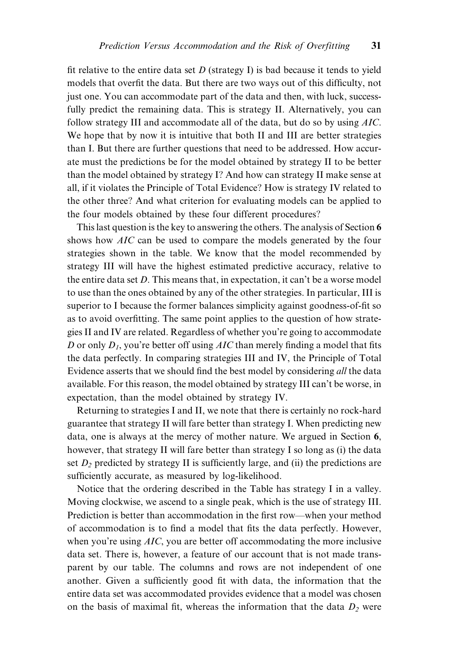fit relative to the entire data set  $D$  (strategy I) is bad because it tends to yield models that overfit the data. But there are two ways out of this difficulty, not just one. You can accommodate part of the data and then, with luck, successfully predict the remaining data. This is strategy II. Alternatively, you can follow strategy III and accommodate all of the data, but do so by using AIC. We hope that by now it is intuitive that both II and III are better strategies than I. But there are further questions that need to be addressed. How accurate must the predictions be for the model obtained by strategy II to be better than the model obtained by strategy I? And how can strategy II make sense at all, if it violates the Principle of Total Evidence? How is strategy IV related to the other three? And what criterion for evaluating models can be applied to the four models obtained by these four different procedures?

This last question is the key to answering the others. The analysis of Section 6 shows how AIC can be used to compare the models generated by the four strategies shown in the table. We know that the model recommended by strategy III will have the highest estimated predictive accuracy, relative to the entire data set D. This means that, in expectation, it can't be a worse model to use than the ones obtained by any of the other strategies. In particular, III is superior to I because the former balances simplicity against goodness-of-fit so as to avoid overfitting. The same point applies to the question of how strategies II and IV are related. Regardless of whether you're going to accommodate D or only  $D_1$ , you're better off using AIC than merely finding a model that fits the data perfectly. In comparing strategies III and IV, the Principle of Total Evidence asserts that we should find the best model by considering all the data available. For this reason, the model obtained by strategy III can't be worse, in expectation, than the model obtained by strategy IV.

Returning to strategies I and II, we note that there is certainly no rock-hard guarantee that strategy II will fare better than strategy I. When predicting new data, one is always at the mercy of mother nature. We argued in Section 6, however, that strategy II will fare better than strategy I so long as (i) the data set  $D_2$  predicted by strategy II is sufficiently large, and (ii) the predictions are sufficiently accurate, as measured by log-likelihood.

Notice that the ordering described in the Table has strategy I in a valley. Moving clockwise, we ascend to a single peak, which is the use of strategy III. Prediction is better than accommodation in the first row—when your method of accommodation is to find a model that fits the data perfectly. However, when you're using AIC, you are better off accommodating the more inclusive data set. There is, however, a feature of our account that is not made transparent by our table. The columns and rows are not independent of one another. Given a sufficiently good fit with data, the information that the entire data set was accommodated provides evidence that a model was chosen on the basis of maximal fit, whereas the information that the data  $D_2$  were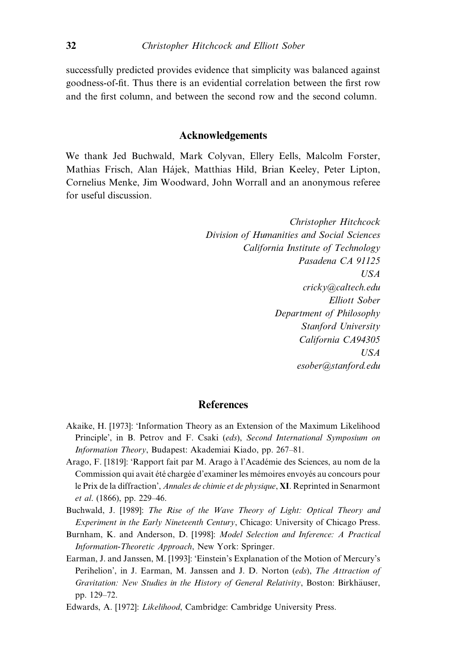successfully predicted provides evidence that simplicity was balanced against goodness-of-fit. Thus there is an evidential correlation between the first row and the first column, and between the second row and the second column.

#### Acknowledgements

We thank Jed Buchwald, Mark Colyvan, Ellery Eells, Malcolm Forster, Mathias Frisch, Alan Hájek, Matthias Hild, Brian Keeley, Peter Lipton, Cornelius Menke, Jim Woodward, John Worrall and an anonymous referee for useful discussion.

> Christopher Hitchcock Division of Humanities and Social Sciences California Institute of Technology Pasadena CA 91125 USA cricky@caltech.edu Elliott Sober Department of Philosophy Stanford University California CA94305 USA esober@stanford.edu

# References

- Akaike, H. [1973]: `Information Theory as an Extension of the Maximum Likelihood Principle', in B. Petrov and F. Csaki (eds), Second International Symposium on Information Theory, Budapest: Akademiai Kiado, pp. 267-81.
- Arago, F. [1819]: 'Rapport fait par M. Arago à l'Académie des Sciences, au nom de la Commission qui avait été chargée d'examiner les mémoires envoyés au concours pour le Prix de la diffraction', Annales de chimie et de physique, XI. Reprinted in Senarmont  $et \ al.$  (1866), pp. 229-46.
- Buchwald, J. [1989]: The Rise of the Wave Theory of Light: Optical Theory and Experiment in the Early Nineteenth Century, Chicago: University of Chicago Press.
- Burnham, K. and Anderson, D. [1998]: Model Selection and Inference: A Practical Information-Theoretic Approach, New York: Springer.
- Earman, J. and Janssen, M. [1993]: `Einstein's Explanation of the Motion of Mercury's Perihelion', in J. Earman, M. Janssen and J. D. Norton (eds), The Attraction of Gravitation: New Studies in the History of General Relativity, Boston: Birkhäuser, pp. 129-72.
- Edwards, A. [1972]: Likelihood, Cambridge: Cambridge University Press.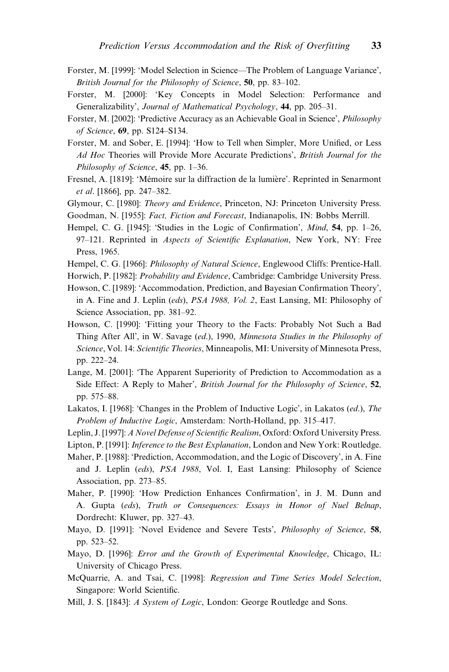- Forster, M. [1999]: 'Model Selection in Science—The Problem of Language Variance', British Journal for the Philosophy of Science,  $50$ , pp. 83-102.
- Forster, M. [2000]: `Key Concepts in Model Selection: Performance and Generalizability', Journal of Mathematical Psychology, 44, pp. 205-31.
- Forster, M. [2002]: 'Predictive Accuracy as an Achievable Goal in Science', *Philosophy* of Science, 69, pp. S124-S134.
- Forster, M. and Sober, E. [1994]: 'How to Tell when Simpler, More Unified, or Less Ad Hoc Theories will Provide More Accurate Predictions', British Journal for the Philosophy of Science,  $45$ , pp. 1-36.
- Fresnel, A. [1819]: 'Mémoire sur la diffraction de la lumière'. Reprinted in Senarmont et al.  $[1866]$ , pp. 247–382.
- Glymour, C. [1980]: Theory and Evidence, Princeton, NJ: Princeton University Press.
- Goodman, N. [1955]: Fact, Fiction and Forecast, Indianapolis, IN: Bobbs Merrill.
- Hempel, C. G. [1945]: 'Studies in the Logic of Confirmation', Mind, 54, pp. 1-26, 97-121. Reprinted in Aspects of Scientific Explanation, New York, NY: Free Press, 1965.
- Hempel, C. G. [1966]: Philosophy of Natural Science, Englewood Cliffs: Prentice-Hall.
- Horwich, P. [1982]: Probability and Evidence, Cambridge: Cambridge University Press.
- Howson, C. [1989]: 'Accommodation, Prediction, and Bayesian Confirmation Theory', in A. Fine and J. Leplin (eds), PSA 1988, Vol. 2, East Lansing, MI: Philosophy of Science Association, pp. 381–92.
- Howson, C. [1990]: `Fitting your Theory to the Facts: Probably Not Such a Bad Thing After All', in W. Savage (ed.), 1990, Minnesota Studies in the Philosophy of Science, Vol. 14: Scientific Theories, Minneapolis, MI: University of Minnesota Press, pp. 222-24.
- Lange, M. [2001]: `The Apparent Superiority of Prediction to Accommodation as a Side Effect: A Reply to Maher', British Journal for the Philosophy of Science, 52, pp. 575-88.
- Lakatos, I. [1968]: 'Changes in the Problem of Inductive Logic', in Lakatos (ed.), The Problem of Inductive Logic, Amsterdam: North-Holland, pp. 315-417.
- Leplin, J. [1997]: A Novel Defense of Scientific Realism, Oxford: Oxford University Press.
- Lipton, P. [1991]: *Inference to the Best Explanation*, London and New York: Routledge.
- Maher, P. [1988]: `Prediction, Accommodation, and the Logic of Discovery', in A. Fine and J. Leplin (eds), PSA 1988, Vol. I, East Lansing: Philosophy of Science Association, pp.  $273-85$ .
- Maher, P. [1990]: 'How Prediction Enhances Confirmation', in J. M. Dunn and A. Gupta (eds), Truth or Consequences: Essays in Honor of Nuel Belnap, Dordrecht: Kluwer, pp. 327–43.
- Mayo, D. [1991]: 'Novel Evidence and Severe Tests', Philosophy of Science, 58, pp. 523-52.
- Mayo, D. [1996]: Error and the Growth of Experimental Knowledge, Chicago, IL: University of Chicago Press.
- McQuarrie, A. and Tsai, C. [1998]: Regression and Time Series Model Selection, Singapore: World Scientific.
- Mill, J. S. [1843]: A System of Logic, London: George Routledge and Sons.